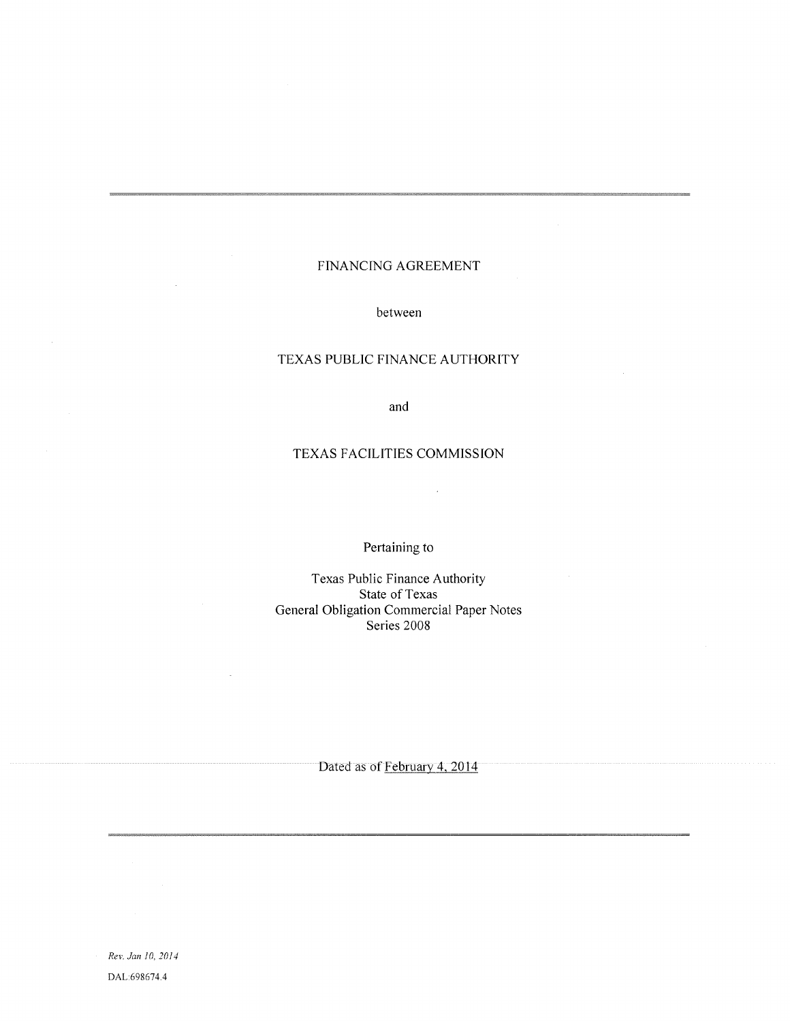## FINANCING AGREEMENT

between

## TEXAS PUBLIC FINANCE AUTHORITY

and

#### TEXAS FACILITIES COMMISSION

 $\ddot{\phantom{a}}$ 

Pertaining to

Texas Public Finance Authority State of Texas General Obligation Commercial Paper Notes Series 2008

Dated as of February 4, 2014

Rev. Jan 10, 2014 DAL:698674.4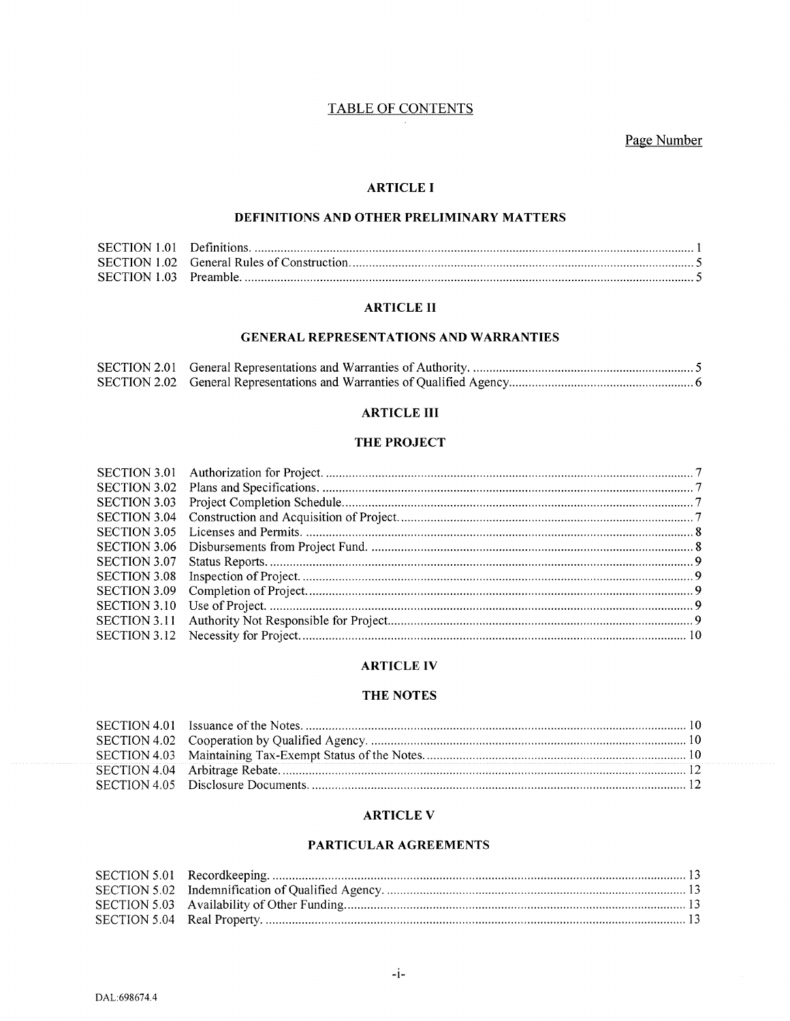## TABLE OF CONTENTS

Page Number

## ARTICLE I

## DEFINITIONS AND OTHER PRELIMINARY MATTERS

## ARTICLE II

### GENERAL REPRESENTATIONS AND WARRANTIES

### **ARTICLE III**

### THE PROJECT

### ARTICLE IV

#### THE NOTES

### ARTICLE V

## PARTICULAR AGREEMENTS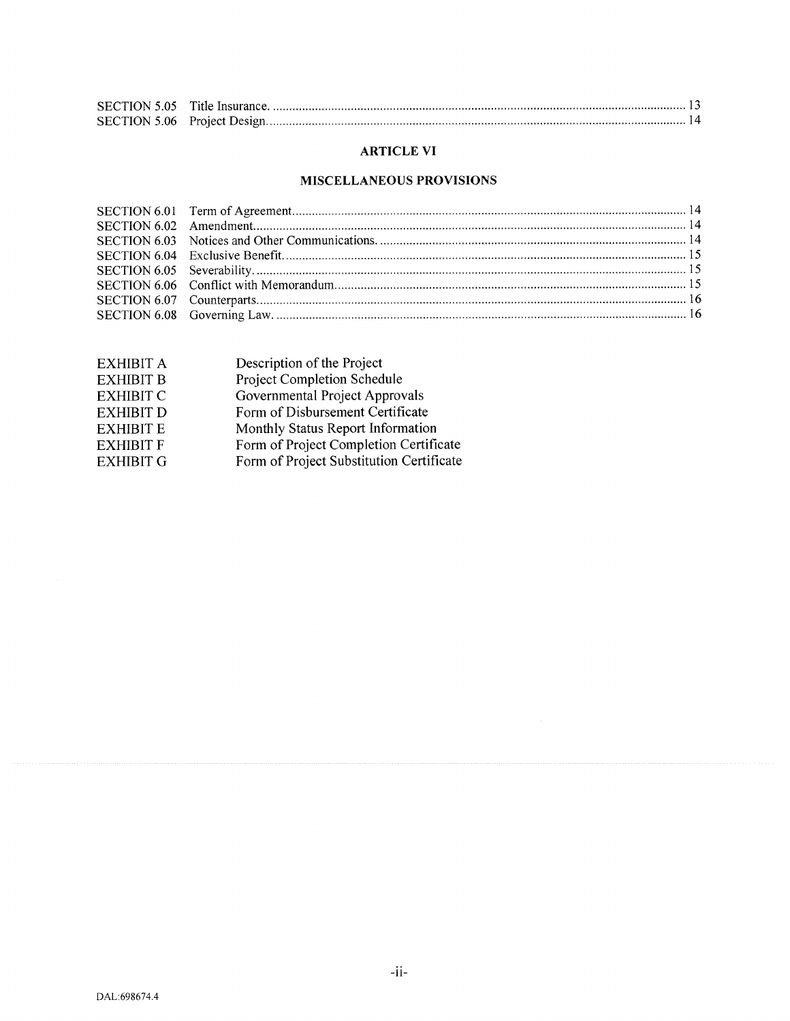## ARTICLE VI

## MISCELLANEOUS PROVISIONS

| <b>EXHIBIT A</b> | Description of the Project               |
|------------------|------------------------------------------|
| <b>EXHIBIT B</b> | Project Completion Schedule              |
| <b>EXHIBIT C</b> | Governmental Project Approvals           |
| <b>EXHIBIT D</b> | Form of Disbursement Certificate         |
| <b>EXHIBIT E</b> | Monthly Status Report Information        |
| <b>EXHIBIT F</b> | Form of Project Completion Certificate   |
| <b>EXHIBIT G</b> | Form of Project Substitution Certificate |
|                  |                                          |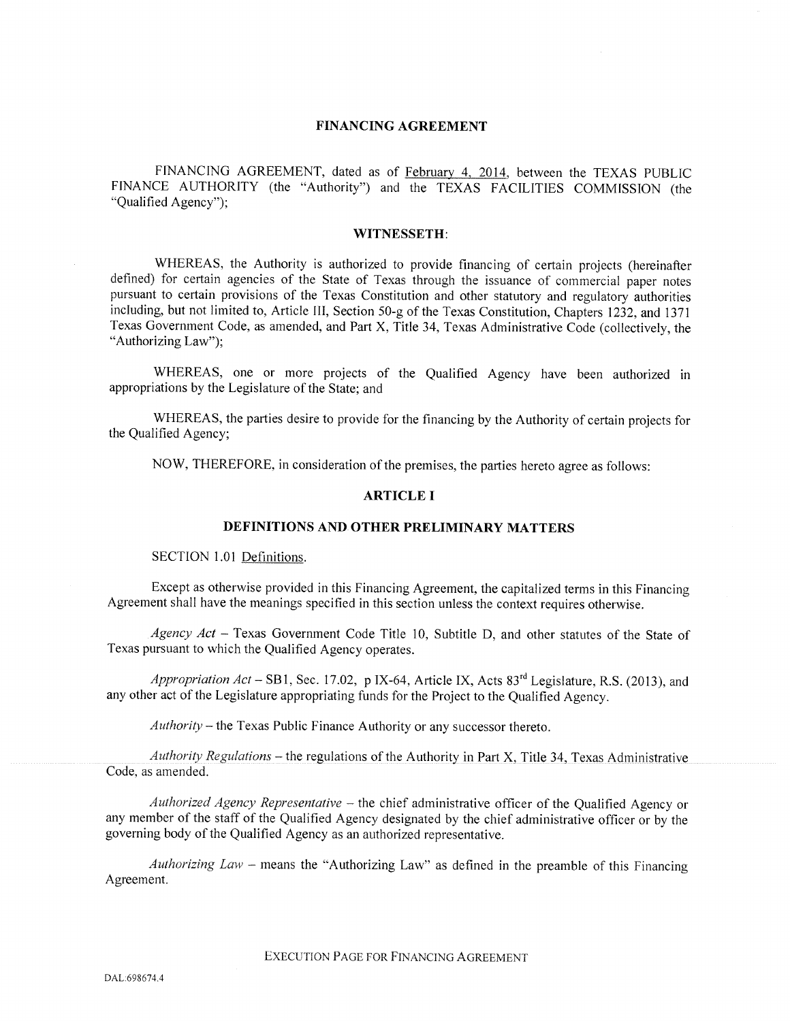#### FINANCING AGREEMENT

FINANCING AGREEMENT, dated as of February 4, 2014, between the TEXAS PUBLIC FINANCE AUTHORITY (the "Authority") and the TEXAS FACILITIES COMMISSION (the "Qualified Agency");

#### WITNESSETH:

WHEREAS, the Authority is authorized to provide financing of certain projects (hereinafter defined) for certain agencies of the State of Texas through the issuance of commercial paper notes pursuant to certain provisions of the Texas Constitution and other statutory and regulatory authorities including, but not limited to, Article III, Section 50-g of the Texas Constitution, Chapters 1232, and <sup>1371</sup> Texas Government Code, as amended, and Part X, Title 34, Texas Administrative Code (collectively, the "Authorizing Law");

WHEREAS, one or more projects of the Qualified Agency have been authorized in appropriations by the Legislature of the State; and

WHEREAS, the parties desire to provide for the financing by the Authority of certain projects for the Qualified Agency;

NOW, THEREFORE, in consideration of the premises, the parties hereto agree as follows:

#### ARTICLE I

## DEFINITIONS AND OTHER PRELIMINARY MATTERS

SECTION 1.01 Definitions.

Except as otherwise provided in this Financing Agreement, the capitalized terms in this Financing Agreement shall have the meanings specified in this section unless the context requires otherwise.

Agency Act - Texas Government Code Title 10, Subtitle D, and other statutes of the State of Texas pursuant to which the Qualified Agency operates.

Appropriation  $Act - SB1$ , Sec. 17.02, p IX-64, Article IX, Acts  $83<sup>rd</sup>$  Legislature, R.S. (2013), and any other act of the Legislature appropriating funds for the Project to the Qualified Agency.

Authority — the Texas Public Finance Authority or any successor thereto.

Authority Regulations – the regulations of the Authority in Part X, Title 34, Texas Administrative Code, as amended.

Authorized Agency Representative — the chief administrative officer of the Qualified Agency or any member of the staff of the Qualified Agency designated by the chief administrative officer or by the governing body of the Qualified Agency as an authorized representative.

Authorizing Law – means the "Authorizing Law" as defined in the preamble of this Financing Agreement.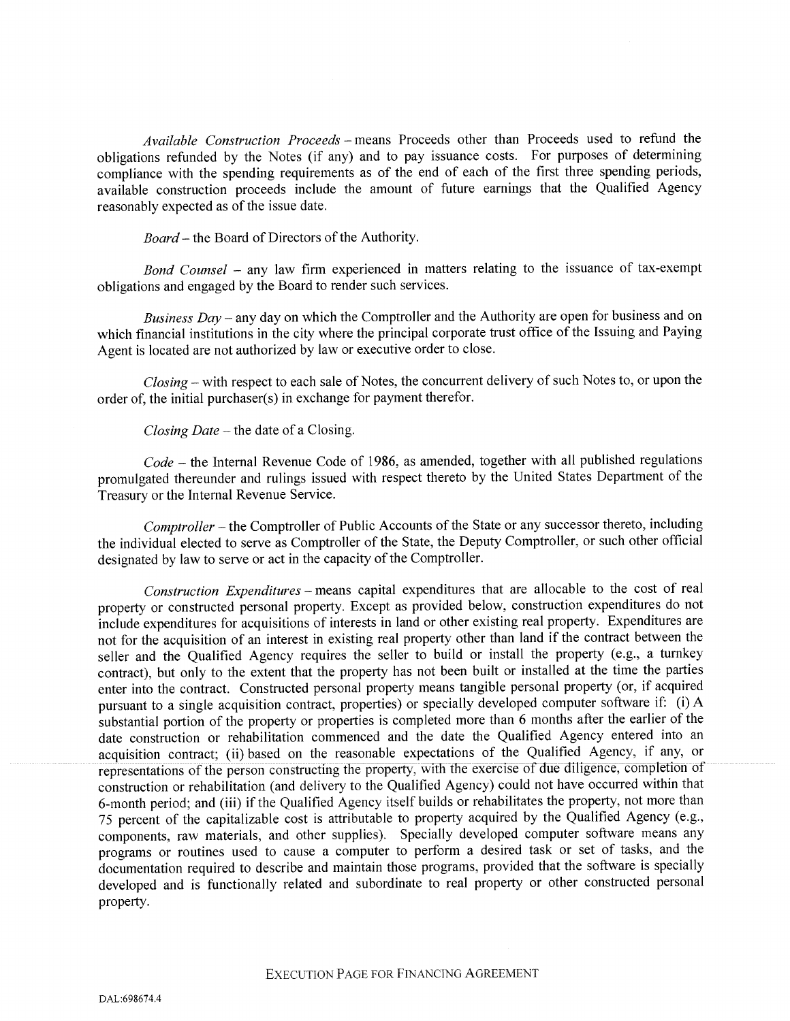Available Construction Proceeds — means Proceeds other than Proceeds used to refund the obligations refunded by the Notes (if any) and to pay issuance costs. For purposes of determining compliance with the spending requirements as of the end of each of the first three spending periods, available construction proceeds include the amount of future earnings that the Qualified Agency reasonably expected as of the issue date.

Board – the Board of Directors of the Authority.

Bond Counsel — any law firm experienced in matters relating to the issuance of tax-exempt obligations and engage<sup>d</sup> by the Board to render such services.

Business  $Day -$  any day on which the Comptroller and the Authority are open for business and on which financial institutions in the city where the principal corporate trust office of the Issuing and Paying Agent is located are not authorized by law or executive order to close.

Closing — with respec<sup>t</sup> to each sale of Notes, the concurrent delivery of such Notes to, or upon the order of, the initial purchaser(s) in exchange for paymen<sup>t</sup> therefor.

Closing Date — the date of <sup>a</sup> Closing.

Code — the Internal Revenue Code of 1986, as amended, together with all published regulations promulgated thereunder and rulings issued with respec<sup>t</sup> thereto by the United States Department of the Treasury or the Internal Revenue Service.

Comptroller — the Comptroller of Public Accounts of the State or any successor thereto, including the individual elected to serve as Comptroller of the State, the Deputy Comptroller, or such other official designated by law to serve or act in the capacity of the Comptroller.

Construction Expenditures — means capital expenditures that are allocable to the cost of real property or constructed persona<sup>l</sup> property. Except as provided below, construction expenditures do not include expenditures for acquisitions of interests in land or other existing real property. Expenditures are not for the acquisition of an interest in existing real property other than land if the contract between the seller and the Qualified Agency requires the seller to build or install the property (e.g., <sup>a</sup> turnkey contract), but only to the extent that the property has not been built or installed at the time the parties enter into the contract. Constructed persona<sup>l</sup> property means tangible persona<sup>l</sup> property (or, if acquired pursuan<sup>t</sup> to <sup>a</sup> single acquisition contract, properties) or specially developed computer software if: (i) <sup>A</sup> substantial portion of the property or properties is completed more than <sup>6</sup> months after the earlier of the date construction or rehabilitation commenced and the date the Qualified Agency entered into an acquisition contract; (ii) based on the reasonable expectations of the Qualified Agency, if any, or representations of the person constructing the property, with the exercise of due diligence, completion of construction or rehabilitation (and delivery to the Qualified Agency) could not have occurred within that 6-month period; and (iii) if the Qualified Agency itself builds or rehabilitates the property, not more than <sup>75</sup> percen<sup>t</sup> of the capitalizable cost is attributable to property acquired by the Qualified Agency (e.g., components, raw materials, and other supplies). Specially developed computer sothvare means any programs or routines used to cause <sup>a</sup> computer to perform <sup>a</sup> desired task or set of tasks, and the documentation required to describe and maintain those programs, provided that the software is specially developed and is functionally related and subordinate to real property or other constructed persona<sup>l</sup> property.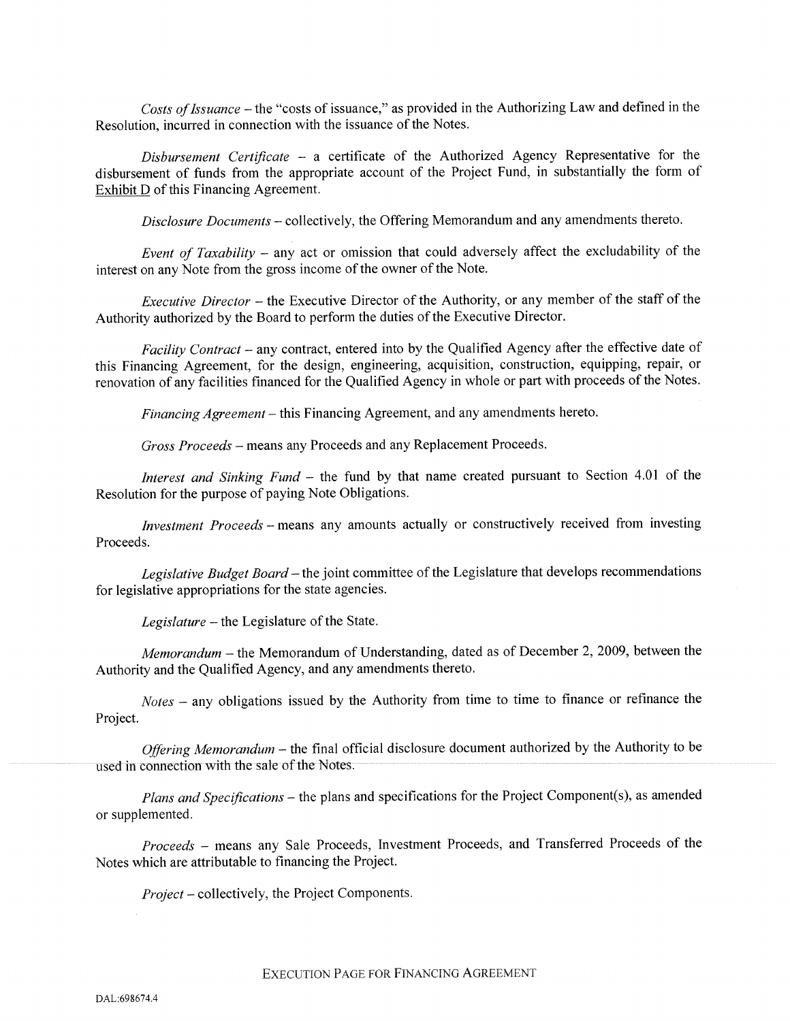Costs of Issuance – the "costs of issuance," as provided in the Authorizing Law and defined in the Resolution, incurred in connection with the issuance of the Notes.

 $Disbursement$  Certificate – a certificate of the Authorized Agency Representative for the disbursement of funds from the appropriate account of the Project Fund, in substantially the form of Exhibit D of this Financing Agreement.

Disclosure Documents — collectively, the Offering Memorandum and any amendments thereto.

Event of Taxability – any act or omission that could adversely affect the excludability of the interest on any Note from the gross income of the owner of the Note.

Executive Director — the Executive Director of the Authority, or any member of the staff of the Authority authorized by the Board to perform the duties of the Executive Director.

Facility Contract – any contract, entered into by the Qualified Agency after the effective date of this Financing Agreement, for the design, engineering, acquisition, construction, equipping, repair, or renovation of any facilities financed for the Qualified Agency in whole or par<sup>t</sup> with proceeds of the Notes.

Financing Agreement – this Financing Agreement, and any amendments hereto.

Gross Proceeds — means any Proceeds and any Replacement Proceeds.

Interest and Sinking Fund – the fund by that name created pursuant to Section 4.01 of the Resolution for the purpose of paying Note Obligations.

Investment Proceeds — means any amounts actually or constructively received from investing Proceeds.

Legislative Budget Board – the joint committee of the Legislature that develops recommendations for legislative appropriations for the state agencies.

Legislature — the Legislature of the State.

Memorandum — the Memorandum of Understanding, dated as of December 2, 2009, between the Authority and the Qualified Agency, and any amendments thereto.

Notes — any obligations issued by the Authority from time to time to finance or refinance the Project.

Offering Memorandum – the final official disclosure document authorized by the Authority to be used in connection with the sale of the Notes.

Plans and Specifications – the plans and specifications for the Project Component(s), as amended or supplemented.

Proceeds — means any Sale Proceeds, Investment Proceeds, and Transferred Proceeds of the Notes which are attributable to financing the Project.

Project — collectively, the Project Components.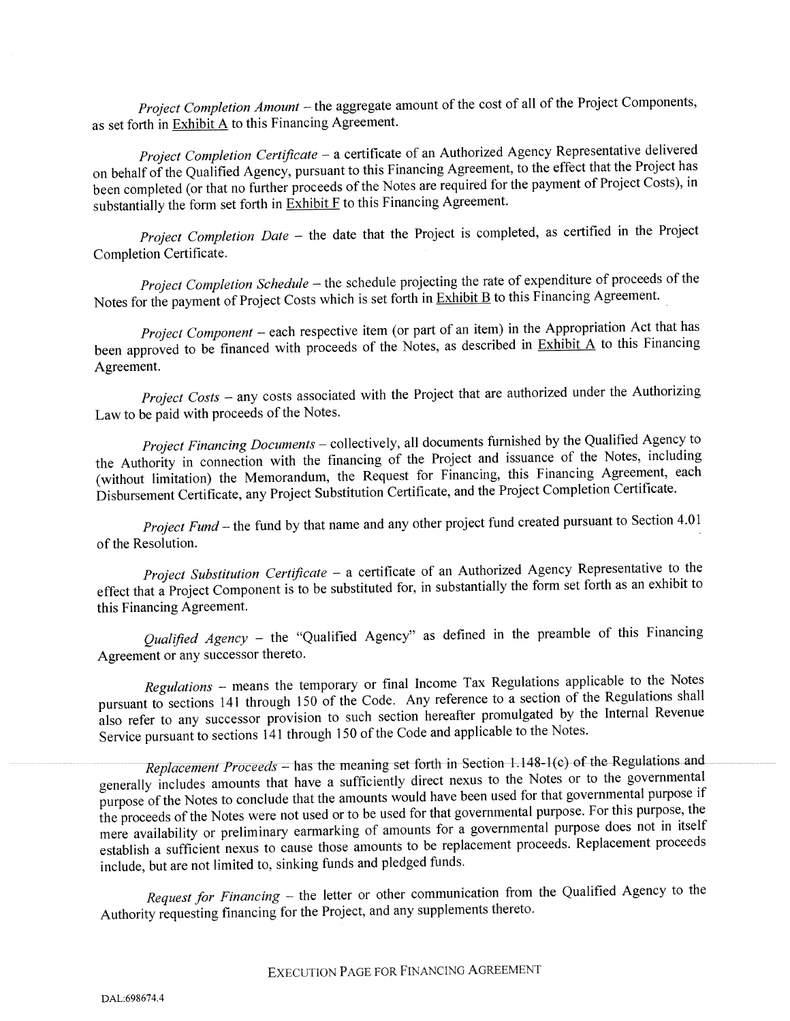Project Completion Amount — the aggregate amount of the cost of all of the Project Components, as set forth in Exhibit A to this Financing Agreement.

Project Completion Certificate - a certificate of an Authorized Agency Representative delivered on behalf of the Qualified Agency, pursuant to this Financing Agreement, to the effect that the Project has been completed (or that no further proceeds of the Notes are required for the payment of Project Costs), in substantially the form set forth in  $\frac{\dot{x}}{\dot{b}}$  to this Financing Agreement.

Project Completion Date - the date that the Project is completed, as certified in the Project Completion Certificate.

Project Completion Schedule — the schedule projecting the rate of expenditure of proceeds of the Notes for the payment of Project Costs which is set forth in **Exhibit B** to this Financing Agreement.

Project Component — each respective item (or par<sup>t</sup> of an item) in the Appropriation Act that has been approved to be financed with proceeds of the Notes, as described in Exhibit A to this Financing Agreement.

Project Costs – any costs associated with the Project that are authorized under the Authorizing Law to be paid with proceeds of the Notes.

Project Financing Documents — collectively, all documents furnished by the Qualified Agency to the Authority in connection with the financing of the Project and issuance of the Notes, including (without limitation) the Memorandum, the Request for Financing, this Financing Agreement, each Disbursement Certificate, any Project Substitution Certificate, and the Project Completion Certificate.

Project Fund – the fund by that name and any other project fund created pursuant to Section 4.01 of the Resolution.

Project Substitution Certificate - a certificate of an Authorized Agency Representative to the effect that <sup>a</sup> Project Component is to be substituted for, in substantially the form set forth as an exhibit to this Financing Agreement.

Qualified Agency – the "Qualified Agency" as defined in the preamble of this Financing Agreement or any successor thereto.

Regulations — means the temporary or final Income Tax Regulations applicable to the Notes pursuan<sup>t</sup> to sections <sup>141</sup> through <sup>150</sup> of the Code. Any reference to <sup>a</sup> section of the Regulations shall also refer to any successor provision to such section hereafter promulgated by the Internal Revenue Service pursuan<sup>t</sup> to sections <sup>141</sup> through <sup>150</sup> of the Code and applicable to the Notes.

Replacement Proceeds - has the meaning set forth in Section  $1.148-1(c)$  of the Regulations and generally includes amounts that have <sup>a</sup> sufficiently direct nexus to the Notes or to the governmental purpose of the Notes to conclude that the amounts would have been used for that governmental purpose if the proceeds of the Notes were not used or to be used for that governmental purpose. For this purpose, the mere availability or preliminary earmarking of amounts for <sup>a</sup> governmental purpose does not in itself establish <sup>a</sup> sufficient nexus to cause those amounts to be replacement proceeds. Replacement proceeds include, but are not limited to, sinking funds and <sup>p</sup>ledged funds.

Request for Financing - the letter or other communication from the Qualified Agency to the Authority requesting financing for the Project, and any supplements thereto.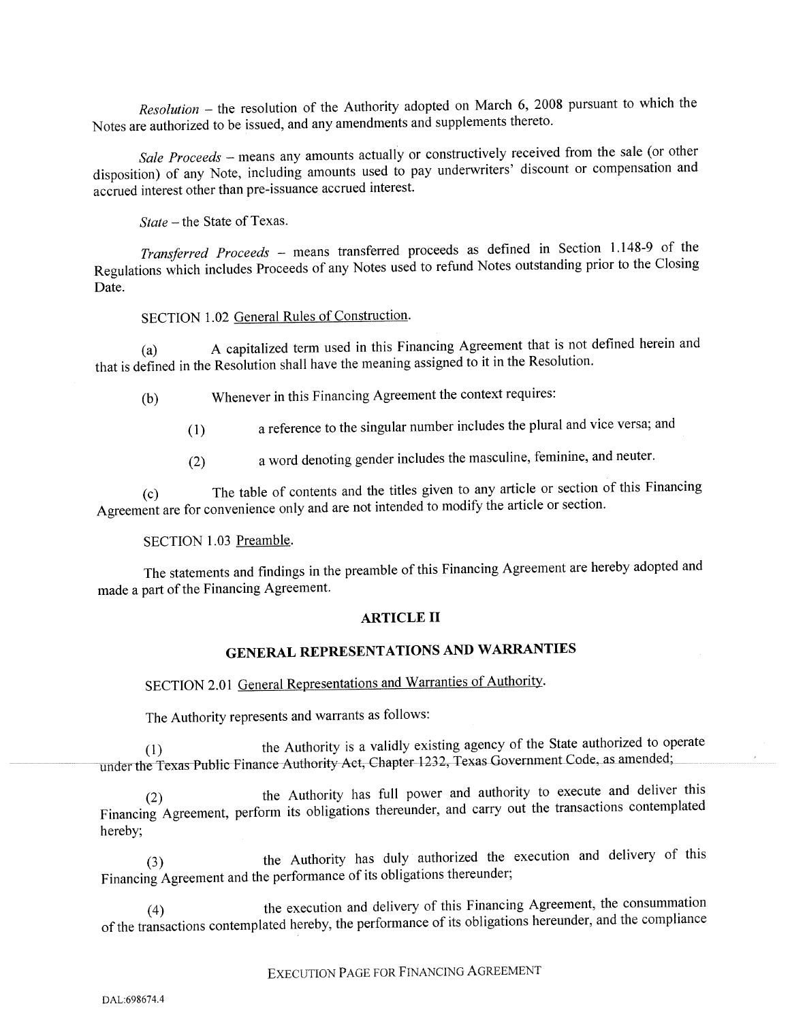Resolution — the resolution of the Authority adopted on March 6, <sup>2008</sup> pursuan<sup>t</sup> to which the Notes are authorized to be issued, and any amendments and supplements thereto.

Sale Proceeds – means any amounts actually or constructively received from the sale (or other disposition) of any Note, including amounts used to pay underwriters' discount or compensation and accrued interest other than pre-issuance accrued interest.

State — the State of Texas.

Transferred Proceeds — means transferred proceeds as defined in Section 1.148-9 of the Regulations which includes Proceeds of any Notes used to refund Notes outstanding prior to the Closing Date.

## SECTION 1.02 General Rules of Construction.

A capitalized term used in this Financing Agreement that is not defined herein and that is defined in the Resolution shall have the meaning assigned to it in the Resolution.

- (b) Whenever in this Financing Agreement the context requires:
	- (1) <sup>a</sup> reference to the singular number includes the <sup>p</sup>lural and vice versa; and
	- (2) <sup>a</sup> word denoting gender includes the masculine, feminine, and neuter.

(c) The table of contents and the titles <sup>g</sup>iven to any article or section of this Financing Agreement are for convenience only and are not intended to modify the article or section.

## SECTION 1.03 Preamble.

The statements and findings in the preamble of this Financing Agreement are hereby adopted and made a part of the Financing Agreement.

#### ARTICLE II

## GENERAL REPRESENTATIONS AND WARRANTIES

SECTION 2.01 General Representations and Warranties of Authority.

The Authority represents and warrants as follows:

(1) the Authority is <sup>a</sup> validly existing agency of the State authorized to operate under the Texas Public Finance Authority Act, Chapter 1232, Texas Government Code, as amended;

(2) the Authority has full power and authority to execute and deliver this Financing Agreement, perform its obligations thereunder, and carry out the transactions contemplated hereby;

(3) the Authority has duly authorized the execution and delivery of this Financing Agreement and the performance of its obligations thereunder;

(4) the execution and delivery of this Financing Agreement, the consummation of the transactions contemplated hereby, the performance of its obligations hereunder, and the compliance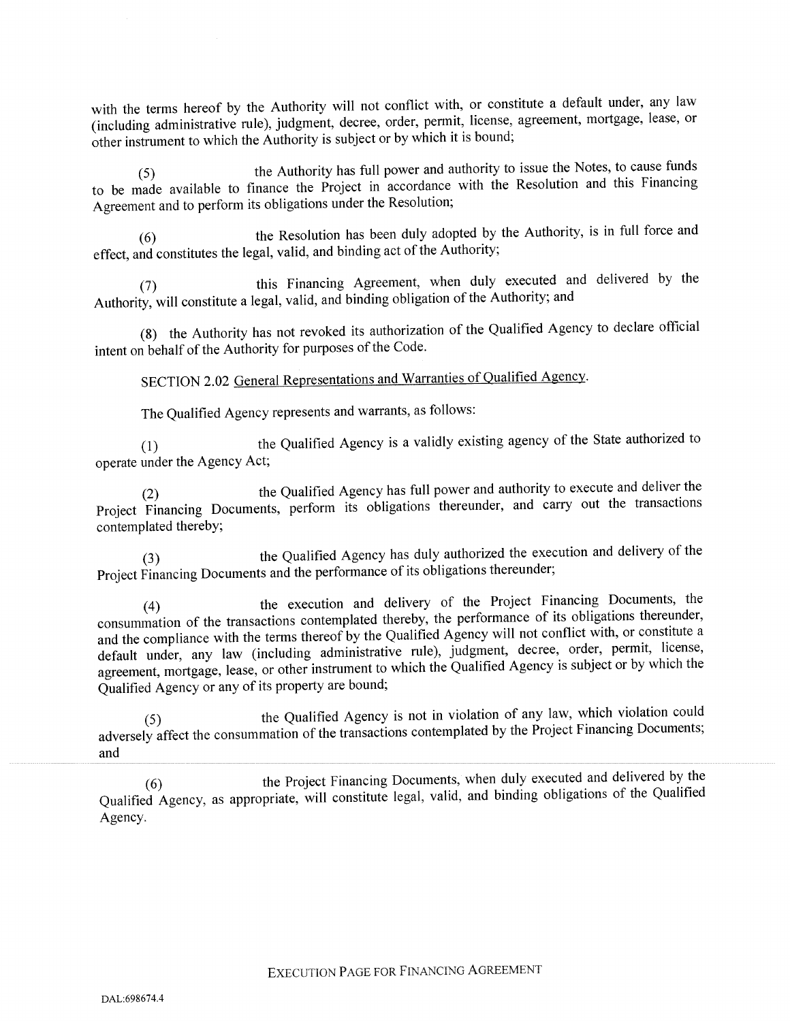with the terms hereof by the Authority will not conflict with, or constitute <sup>a</sup> default under, any law (including administrative rule), judgment, decree, order, permit, license, agreement, mortgage, lease, or other instrument to which the Authority is subject or by which it is bound;

(5) the Authority has full power and authority to issue the Notes, to cause funds to be made available to finance the Project in accordance with the Resolution and this Financing Agreement and to perform its obligations under the Resolution;

(6) the Resolution has been duly adopted by the Authority, is in full force and effect, and constitutes the legal, valid, and binding act of the Authority;

(7) this Financing Agreement, when duly executed and delivered by the Authority, will constitute <sup>a</sup> legal, valid, and binding obligation of the Authority; and

(8) the Authority has not revoked its authorization of the Qualified Agency to declare official intent on behalf of the Authority for purposes of the Code.

SECTION 2.02 General Representations and Warranties of Qualified Agency.

The Qualified Agency represents and warrants, as follows:

(1) the Qualified Agency is <sup>a</sup> validly existing agency of the State authorized to operate under the Agency Act;

(2) the Qualified Agency has full power and authority to execute and deliver the Project Financing Documents, perform its obligations thereunder, and carry out the transactions contemplated thereby;

(3) the Qualified Agency has duly authorized the execution and delivery of the Project Financing Documents and the performance of its obligations thereunder;

(4) the execution and delivery of the Project Financing Documents, the consummation of the transactions contemplated thereby, the performance of its obligations thereunder, and the compliance with the terms thereof by the Qualified Agency will not conflict with, or constitute a default under, any law (including administrative rule), judgment, decree, order, permit, license, agreement, mortgage, lease, or other instrument to which the Qualified Agency is subject or by which the Qualified Agency or any of its property are bound;

(5) the Qualified Agency is not in violation of any law, which violation could adversely affect the consummation of the transactions contemplated by the Project Financing Documents; and

(6) the Project Financing Documents, when duly executed and delivered by the Qualified Agency, as appropriate, will constitute legal, valid, and binding obligations of the Qualified Agency.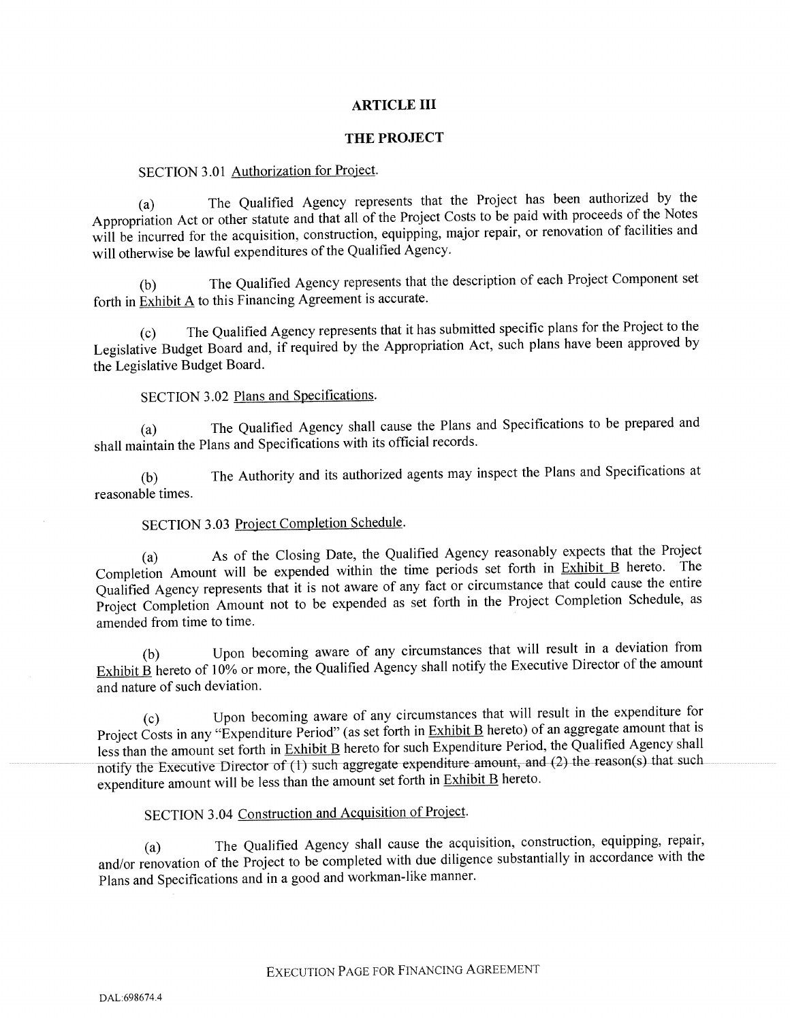### ARTICLE III

#### THE PROJECT

#### SECTION 3.01 Authorization for Project.

(a) The Qualified Agency represents that the Project has been authorized by the Appropriation Act or other statute and that all of the Project Costs to be paid with proceeds of the Notes will be incurred for the acquisition, construction, equipping, major repair, or renovation of facilities and will otherwise be lawful expenditures of the Qualified Agency.

(b) The Qualified Agency represents that the description of each Project Component set forth in Exhibit A to this Financing Agreement is accurate.

(c) The Qualified Agency represents that it has submitted specific <sup>p</sup>lans for the Project to the Legislative Budget Board and, if required by the Appropriation Act, such plans have been approved by the Legislative Budget Board.

#### SECTION 3.02 Plans and Specifications.

(a) The Qualified Agency shall cause the Plans and Specifications to be prepare<sup>d</sup> and shall maintain the Plans and Specifications with its official records.

(b) The Authority and its authorized agents may inspect the Plans and Specifications at reasonable times.

## SECTION 3.03 Project Completion Schedule.

(a) As of the Closing Date, the Qualified Agency reasonably expects that the Project Completion Amount will be expended within the time periods set forth in Exhibit B hereto. The Qualified Agency represents that it is not aware of any fact or circumstance that could cause the entire Project Completion Amount not to be expended as set forth in the Project Completion Schedule, as amended from time to time.

(b) Upon becoming aware of any circumstances that will result in <sup>a</sup> deviation from Exhibit  $\angle$  hereto of 10% or more, the Qualified Agency shall notify the Executive Director of the amount and nature of such deviation.

(c) Upon becoming aware of any circumstances that will result in the expenditure for Project Costs in any "Expenditure Period" (as set forth in Exhibit B hereto) of an aggregate amount that is less than the amount set forth in Exhibit B hereto for such Expenditure Period, the Qualified Agency shall notify the Executive Director of  $\overline{(1)}$  such aggregate expenditure amount, and  $(2)$  the reason(s) that such expenditure amount will be less than the amount set forth in **Exhibit B** hereto.

# SECTION 3.04 Construction and Acquisition of Project.

(a) The Qualified Agency shall cause the acquisition, construction, equipping, repair, and/or renovation of the Project to be completed with due diligence substantially in accordance with the Plans and Specifications and in <sup>a</sup> goo<sup>d</sup> and workman-like manner.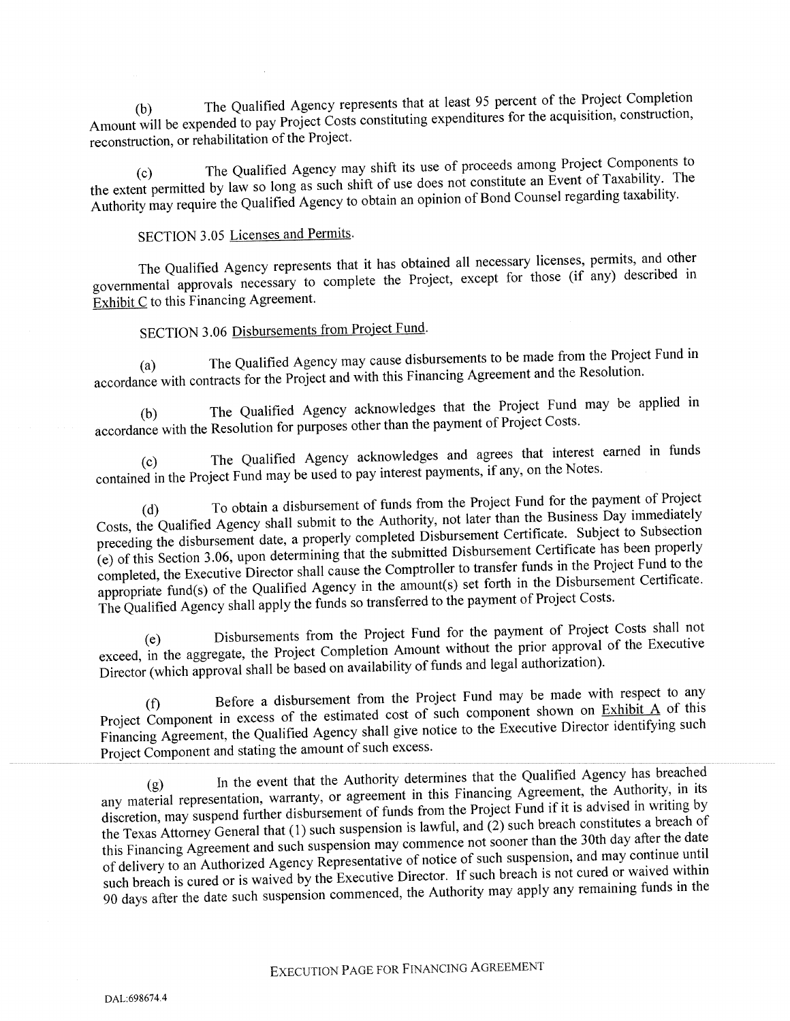(b) The Qualified Agency represents that at least <sup>95</sup> percen<sup>t</sup> of the Project Completion Amount will be expended to pay Project Costs constituting expenditures for the acquisition, construction, reconstruction, or rehabilitation of the Project.

The Qualified Agency may shift its use of proceeds among Project Components to the extent permitted by law so long as such shift of use does not constitute an Event of Taxability. The Authority may require the Qualified Agency to obtain an opinion of Bond Counsel regarding taxability.

# SECTION 3.05 Licenses and Permits.

The Qualified Agency represents that it has obtained all necessary licenses, permits, and other governmental approvals necessary to complete the Project, excep<sup>t</sup> for those (if any) described in  $\widetilde{\text{Exhibit C}}$  to this Financing Agreement.

# SECTION 3.06 Disbursements from Project Fund.

(a) The Qualified Agency may cause disbursements to be made from the Project Fund in accordance with contracts for the Project and with this Financing Agreement and the Resolution.

(b) The Qualified Agency acknowledges that the Project Fund may be applied in accordance with the Resolution for purposes other than the paymen<sup>t</sup> of Project Costs.

The Qualified Agency acknowledges and agrees that interest earned in funds contained in the Project Fund may be used to pay interest payments, if any, on the Notes.

(d) To obtain <sup>a</sup> disbursement of funds from the Project Fund for the paymen<sup>t</sup> of Project Costs, the Qualified Agency shall submit to the Authority, not later than the Business Day immediately preceding the disbursement date, a properly completed Disbursement Certificate. Subject to Subsection (e) of this Section 3.06, upon determining that the submitted Disbursement Certificate has been properly completed, the Executive Director shall cause the Comptroller to transfer funds in the Project Fund to the appropriate fund(s) of the Qualified Agency in the amount(s) set forth in the Disbursement Certificate. The Qualified Agency shall apply the funds so transferred to the paymen<sup>t</sup> of Project Costs.

(e) Disbursements from the Project Fund for the paymen<sup>t</sup> of Project Costs shall not exceed, in the aggregate, the Project Completion Amount without the prior approval of the Executive Director (which approval shall be based on availability of funds and legal authorization).

Before a disbursement from the Project Fund may be made with respect to any Project Component in excess of the estimated cost of such component shown on Exhibit A of this Financing Agreement, the Qualified Agency shall give notice to the Executive Director identifying such Project Component and stating the amount of such excess.

In the event that the Authority determines that the Qualified Agency has breached any material representation, warranty, or agreement in this Financing Agreement, the Authority, in its discretion, may suspen<sup>d</sup> further disbursement of funds from the Project Fund if it is advised in writing by the Texas Attorney General that (1) such suspension is lawful, and (2) such breach constitutes <sup>a</sup> breach of this Financing Agreement and such suspension may commence not sooner than the 30th day after the date of delivery to an Authorized Agency Representative of notice of such suspension, and may continue until such breach is cured or is waived by the Executive Director. If such breach is not cured or waived within <sup>90</sup> days after the date such suspension commenced, the Authority may apply any remaining funds in the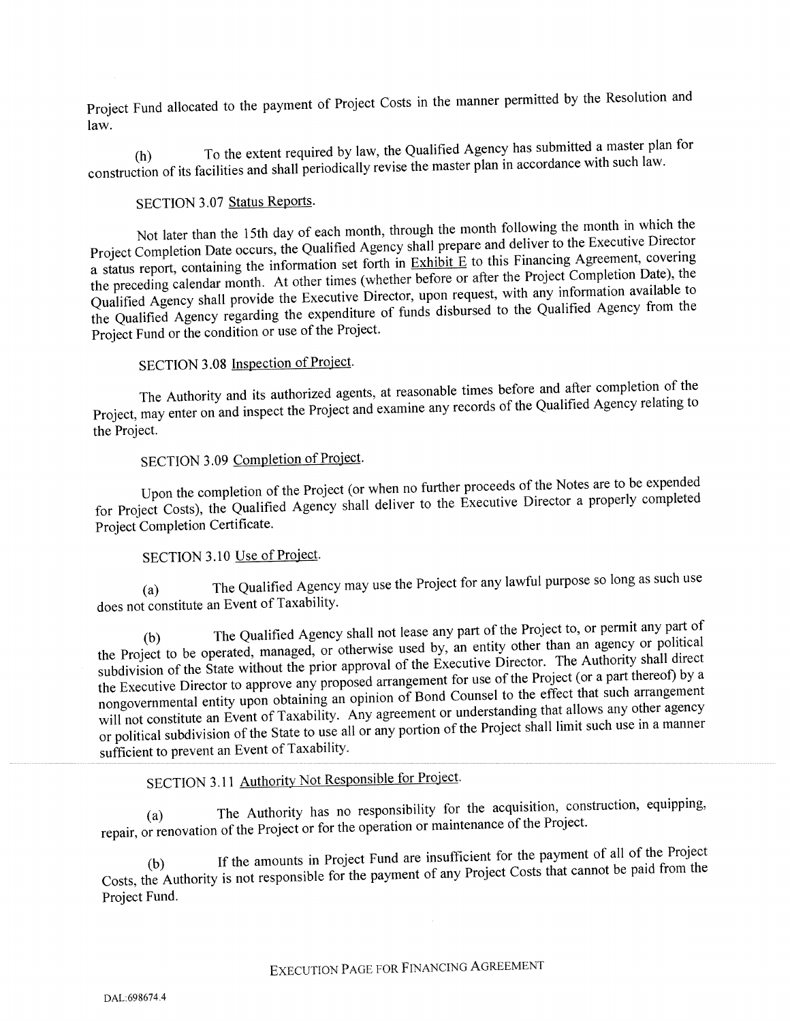Project Fund allocated to the paymen<sup>t</sup> of Project Costs in the manner permitted by the Resolution and law.

(h) To the extent required by law, the Qualified Agency has submitted a master plan for construction of its facilities and shall periodically revise the master <sup>p</sup>lan in accordance with such law.

# SECTION 3.07 Status Reports.

Not later than the 15th day of each month, through the month following the month in which the Project Completion Date occurs, the Qualified Agency shall prepare and deliver to the Executive Director a status report, containing the information set forth in  $\overline{\text{Exhibit E}}$  to this Financing Agreement, covering the preceding calendar month. At other times (whether before or after the Project Completion Date), the Qualified Agency shall provide the Executive Director, upon request, with any information available to the Qualified Agency regarding the expenditure of funds disbursed to the Qualified Agency from the Project Fund or the condition or use of the Project.

## SECTION 3.08 Inspection of Project.

The Authority and its authorized agents, at reasonable times before and after completion of the Project, may enter on and inspect the Project and examine any records of the Qualified Agency relating to the Project.

# SECTION 3.09 Completion of Project.

Upon the completion of the Project (or when no further proceeds of the Notes are to be expended for Project Costs), the Qualified Agency shall deliver to the Executive Director <sup>a</sup> properly completed Project Completion Certificate.

## SECTION 3.10 Use of Project.

(a) The Qualified Agency may use the Project for any lawful purpose so long as such use does not constitute an Event of Taxability.

(b) The Qualified Agency shall not lease any part of the Project to, or permit any part of the Project to be operated, managed, or otherwise used by, an entity other than an agency or political subdivision of the State without the prior approval of the Executive Director. The Authority shall direct the Executive Director to approve any propose<sup>d</sup> arrangemen<sup>t</sup> for use of the Project (or <sup>a</sup> par<sup>t</sup> thereof) by <sup>a</sup> nongovernmental entity upon obtaining an opinion of Bond Counsel to the effect that such arrangemen<sup>t</sup> will not constitute an Event of Taxability. Any agreement or understanding that allows any other agency or political subdivision of the State to use all or any portion of the Project shall limit such use in a manner sufficient to preven<sup>t</sup> an Event of Taxability.

# SECTION 3.11 Authority Not Responsible for Project.

(a) The Authority has no responsibility for the acquisition, construction, equipping, repair, or renovation of the Project or for the operation or maintenance of the Project.

If the amounts in Project Fund are insufficient for the payment of all of the Project Costs, the Authority is not responsible for the paymen<sup>t</sup> of any Project Costs that cannot be paid from the Project Fund.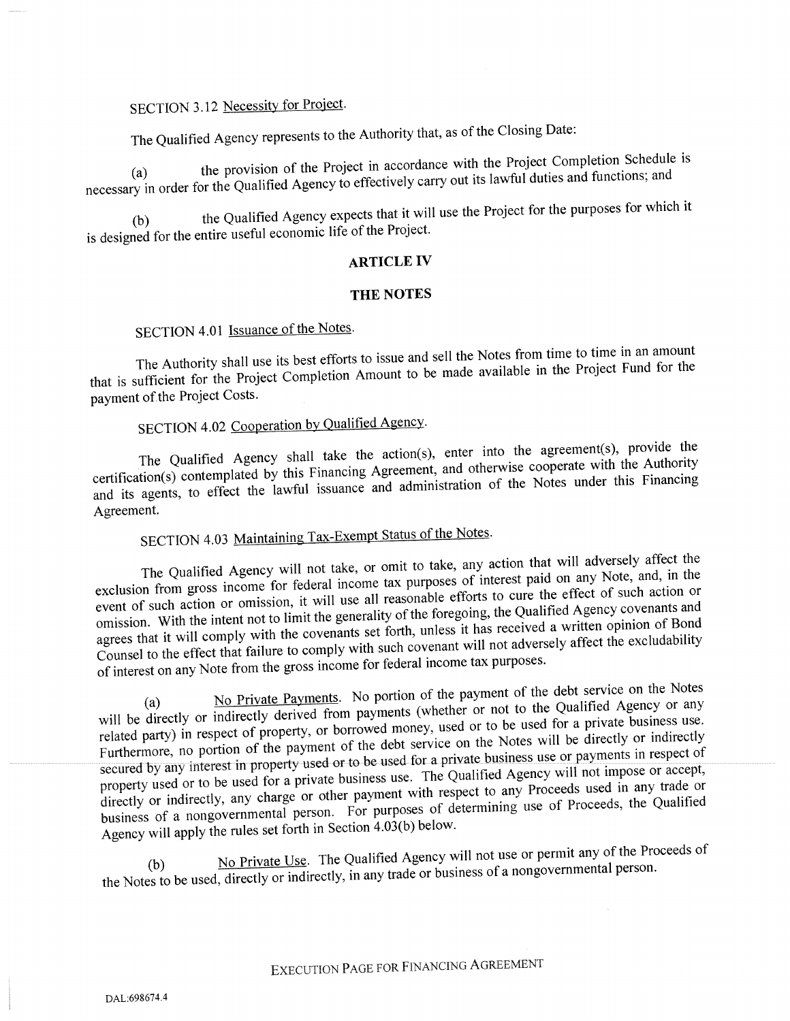# SECTION 3.12 Necessity for Project.

The Qualified Agency represents to the Authority that, as of the Closing Date:

the provision of the Project in accordance with the Project Completion Schedule is necessary in order for the Qualified Agency to effectively carry out its lawful duties and functions; and

(b) the Qualified Agency expects that it will use the Project for the purposes for which it is designed for the entire useful economic life of the Project.

## ARTICLE IV

#### THE NOTES

## SECTION 4.01 Issuance of the Notes.

The Authority shall use its best efforts to issue and sell the Notes from time to time in an amount that is sufficient for the Project Completion Amount to be made available in the Project Fund for the paymen<sup>t</sup> of.the Project Costs.

# SECTION 4.02 Cooperation by Qualified Agency.

The Qualified Agency shall take the action(s), enter into the agreement(s), provide the certification(s) contemplated by this Financing Agreement, and otherwise cooperate with the Authority and its agents, to effect the lawful issuance and administration of the Notes under this Financing Agreement.

# SECTION 4.03 Maintaining Tax-Exempt Status of the Notes.

The Qualified Agency will not take, or omit to take, any action that will adversely affect the exclusion from gross income for federal income tax purposes of interest paid on any Note, and, in the event of such action or omission, it will use all reasonable efforts to cure the effect of such action or omission. With the intent not to limit the generality of the foregoing, the Qualified Agency covenants and agrees that it will comply with the covenants set forth, unless it has received <sup>a</sup> written opinion of Bond Counsel to the effect that failure to comply with such covenant will not adversely affect the excludability of interest on any Note from the gross income for federal income tax purposes.

No Private Payments. No portion of the payment of the debt service on the Notes will be directly or indirectly derived from payments (whether or not to the Qualified Agency or any related party) in respec<sup>t</sup> of property, or borrowed money, used or to be used for <sup>a</sup> private business use. Furthermore, no portion of the payment of the debt service on the Notes will be directly or indirectly secured by any interest in property used or to be used for a private business use or payments in respect of property used or to be used for a private business use. The Qualified Agency will not impose or accept, directly or indirectly, any charge or other payment with respect to any Proceeds used in any trade or business of <sup>a</sup> nongovernmental person. For purposes of determining use of Proceeds, the Qualified Agency will apply the rules set forth in Section 4.03(b) below.

No Private Use. The Qualified Agency will not use or permit any of the Proceeds of the Notes to be used, directly or indirectly, in any trade or business of a nongovernmental person.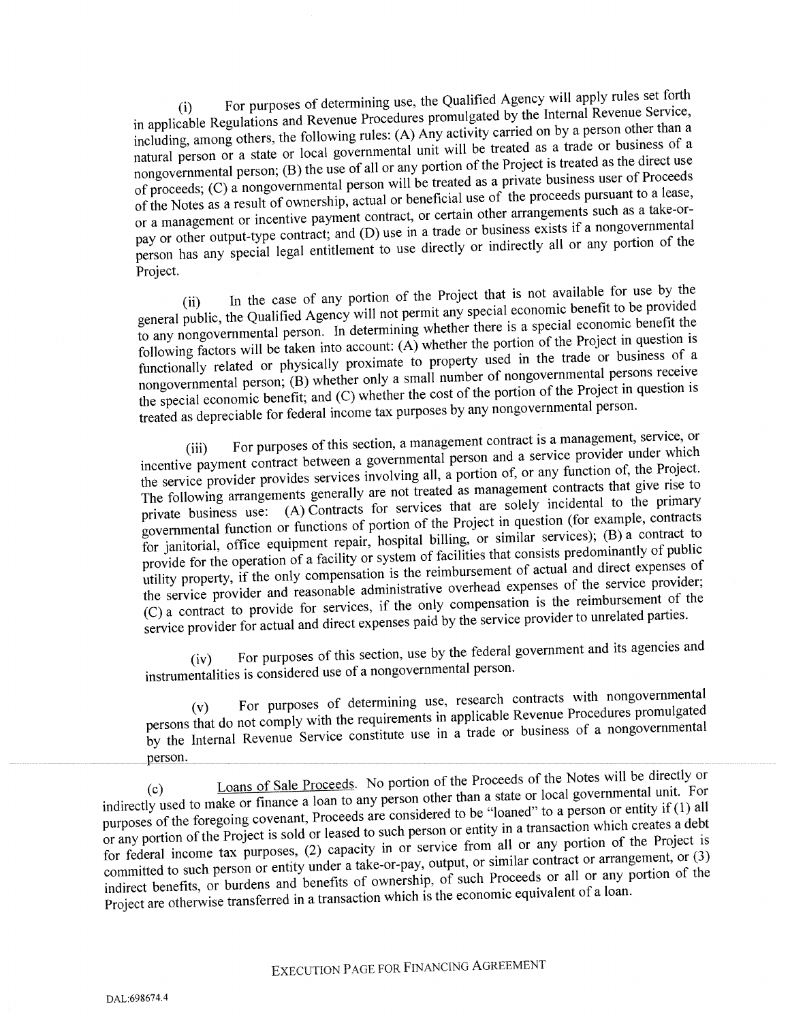(i) For purposes of determining use, the Qualified Agency will apply rules set forth in applicable Regulations and Revenue Procedures promulgated by the Internal Revenue Service, including, among others, the following rules: (A) Any activity carried on by <sup>a</sup> person other than <sup>a</sup> natural person or <sup>a</sup> state or local governmental unit will be treated as <sup>a</sup> trade or business of <sup>a</sup> nongovernmental person; (B) the use of all or any portion of the Project is treated as the direct use of proceeds; (C) <sup>a</sup> nongovernmental person will be treated as <sup>a</sup> private business user of Proceeds of the Notes as a result of ownership, actual or beneficial use of the proceeds pursuant to a lease, or <sup>a</sup> managemen<sup>t</sup> or incentive paymen<sup>t</sup> contract, or certain other arrangements such as <sup>a</sup> take-orpay or other output-type contract; and (D) use in a trade or business exists if a nongovernmental person has any special legal entitlement to use directly or indirectly all or any portion of the Project.

In the case of any portion of the Project that is not available for use by the genera<sup>l</sup> public, the Qualified Agency will not permit any special economic benefit to be provided to any nongovernmental person. In determining whether there is <sup>a</sup> special economic benefit the following factors will be taken into account: (A) whether the portion of the Project in question is functionally related or physically proximate to property used in the trade or business of a nongovernmental person; (B) whether only <sup>a</sup> small number of nongovernmental persons receive the special economic benefit; and (C) whether the cost of the portion of the Project in question is treated as depreciable for federal income tax purposes by any nongovernmental person.

(iii) For purposes of this section, a management contract is a management, service, or incentive paymen<sup>t</sup> contract between <sup>a</sup> governmental person and <sup>a</sup> service provider under which the service provider provides services involving all, <sup>a</sup> portion of, or any function of, the Project. The following arrangements generally are not treated as managemen<sup>t</sup> contracts that <sup>g</sup>ive rise to private business use: (A) Contracts for services that are solely incidental to the primary governmental function or functions of portion of the Project in question (for example, contracts for janitorial, office equipment repair, hospital billing, or similar services); (B) <sup>a</sup> contract to provide for the operation of <sup>a</sup> facility or system of facilities that consists predominantly of public utility property, if the only compensation is the reimbursement of actual and direct expenses of the service provider and reasonable administrative overhead expenses of the service provider; (C) <sup>a</sup> contract to provide for services, if the only compensation is the reimbursement of the service provider for actual and direct expenses paid by the service provider to unrelated parties.

(iv) For purposes of this section, use by the federal governmen<sup>t</sup> and its agencies and instrumentalities is considered use of <sup>a</sup> nongovernmental person.

For purposes of determining use, research contracts with nongovernmental persons that do not comply with the requirements in applicable Revenue Procedures promulgated by the Internal Revenue Service constitute use in <sup>a</sup> trade or business of <sup>a</sup> nongovernmental person.

Loans of Sale Proceeds. No portion of the Proceeds of the Notes will be directly or indirectly used to make or finance <sup>a</sup> loan to any person other than <sup>a</sup> state or local governmental unit. For purposes of the foregoing covenant, Proceeds are considered to be "loaned" to <sup>a</sup> person or entity if (1) all or any portion of the Project is sold or leased to such person or entity in <sup>a</sup> transaction which creates <sup>a</sup> debt for federal income tax purposes, (2) capacity in or service from all or any portion of the Project is committed to such person or entity under a take-or-pay, output, or similar contract or arrangement, or (3) indirect benefits, or burdens and benefits of ownership, of such Proceeds or all or any portion of the Project are otherwise transferred in a transaction which is the economic equivalent of a loan.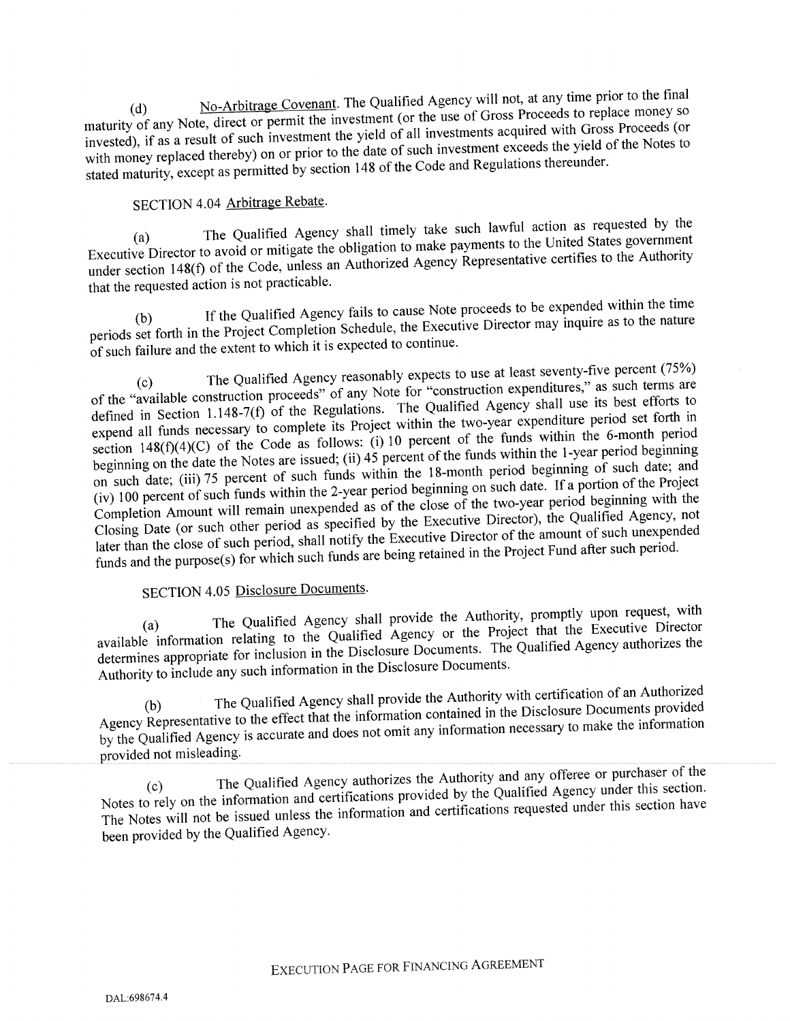No-Arbitrage Covenant. The Qualified Agency will not, at any time prior to the final maturity of any Note, direct or permit the investment (or the use of Gross Proceeds to replace money so invested), if as <sup>a</sup> result of such investment the <sup>y</sup>ield of all investments acquired with Gross Proceeds (or with money replaced thereby) on or prior to the date of such investment exceeds the yield of the Notes to stated maturity, excep<sup>t</sup> as permitted by section <sup>148</sup> of the Code and Regulations thereunder.

# SECTION 4.04 Arbitrage Rebate.

The Qualified Agency shall timely take such lawful action as requested by the Executive Director to avoid or mitigate the obligation to make payments to the United States governmen<sup>t</sup> under section 148(f) of the Code, unless an Authorized Agency Representative certifies to the Authority that the requested action is not practicable.

If the Qualified Agency fails to cause Note proceeds to be expended within the time periods set forth in the Project Completion Schedule, the Executive Director may inquire as to the nature of such failure and the extent to which it is expected to continue.

The Qualified Agency reasonably expects to use at least seventy-five percent (75%) of the "available construction proceeds" of any Note for "construction expenditures," as such terms are defined in Section 1.148-7(f) of the Regulations. The Qualified Agency shall use its best efforts to expen<sup>d</sup> all funds necessary to complete its Project within the two-year expenditure period set forth in section  $148(f)(4)(C)$  of the Code as follows: (i) 10 percent of the funds within the 6-month period beginning on the date the Notes are issued; (ii)  $45$  percent of the funds within the 1-year period beginning on such date; (iii) 75 percent of such funds within the 18-month period beginning of such date; and (iv) <sup>100</sup> percen<sup>t</sup> of such funds within the 2-year period beginning on such date. If <sup>a</sup> portion of the Project Completion Amount will remain unexpended as of the close of the two-year period beginning with the Closing Date (or such other period as specified by the Executive Director), the Qualified Agency, not later than the close of such period, shall notify the Executive Director of the amount of such unexpended funds and the purpose(s) for which such funds are being retained in the Project Fund after such period.

## SECTION 4.05 Disclosure Documents.

The Qualified Agency shall provide the Authority, promptly upon request, with available information relating to the Qualified Agency or the Project that the Executive Director determines appropriate for inclusion in the Disclosure Documents. The Qualified Agency authorizes the Authority to include any such information in the Disclosure Documents.

(b) The Qualified Agency shall provide the Authority with certification of an Authorized Agency Representative to the effect that the information contained in the Disclosure Documents provided by the Qualified Agency is accurate and does not omit any information necessary to make the information provided not misleading.

The Qualified Agency authorizes the Authority and any offeree or purchaser of the Notes to rely on the information and certifications provided by the Qualified Agency under this section. The Notes will not be issued unless the information and certifications requested under this section have been provided by the Qualified Agency.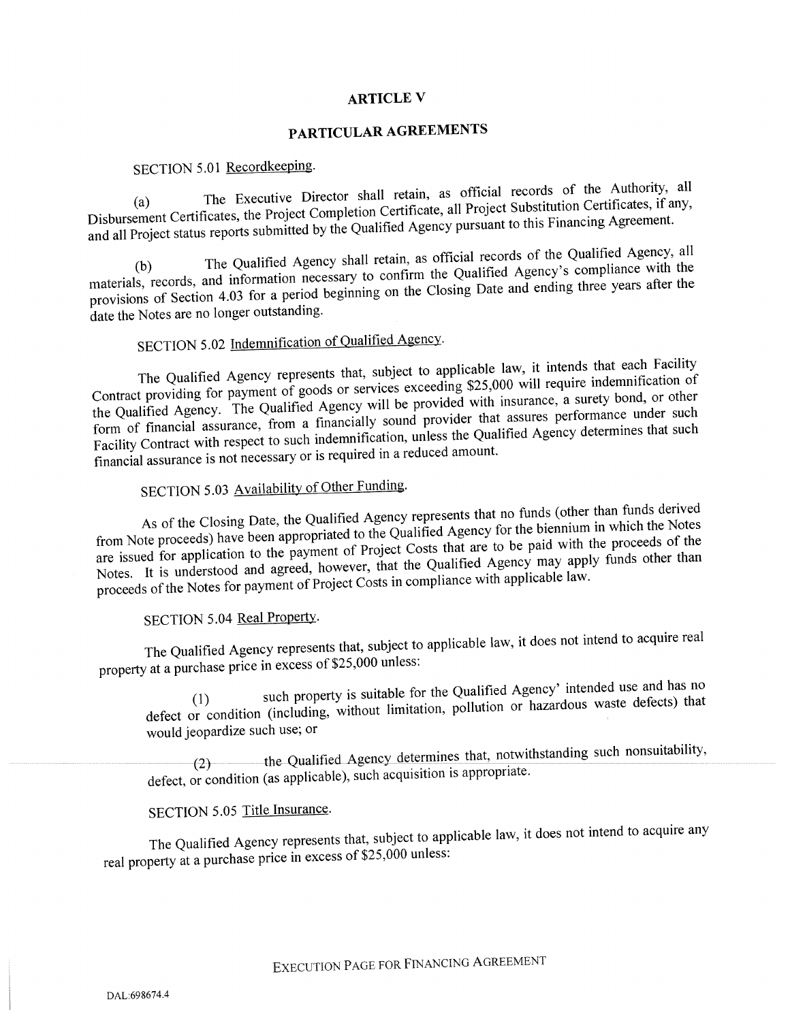### ARTICLE V

## PARTICULAR AGREEMENTS

## SECTION 5.01 Recordkeeping.

The Executive Director shall retain, as official records of the Authority, all Disbursement Certificates, the Project Completion Certificate, all Project Substitution Certificates, if any, and all Project status reports submitted by the Qualified Agency pursuan<sup>t</sup> to this Financing Agreement.

The Qualified Agency shall retain, as official records of the Qualified Agency, all materials, records, and information necessary to confirm the Qualified Agency's compliance with the provisions of Section 4.03 for a period beginning on the Closing Date and ending three years after the date the Notes are no longer outstanding.

# SECTION 5.02 Indemnification of Qualified Agency.

The Qualified Agency represents that, subject to applicable law, it intends that each Facility Contract providing for paymen<sup>t</sup> of goods or services exceeding \$25,000 will require indemnification of the Qualified Agency. The Qualified Agency will be provided with insurance, <sup>a</sup> surety bond, or other form of financial assurance, from a financially sound provider that assures performance under such Facility Contract with respec<sup>t</sup> to such indemnification, unless the Qualified Agency determines that such financial assurance is not necessary or is required in <sup>a</sup> reduced amount.

# SECTION 5.03 Availability of Other Funding.

As of the Closing Date, the Qualified Agency represents that no funds (other than funds derived from Note proceeds) have been appropriated to the Qualified Agency for the biennium in which the Notes are issued for application to the paymen<sup>t</sup> of Project Costs that are to be paid with the proceeds of the Notes. It is understood and agreed, however, that the Qualified Agency may apply funds other than proceeds of the Notes for payment of Project Costs in compliance with applicable law.

## SECTION 5.04 Real Property.

The Qualified Agency represents that, subject to applicable law, it does not intend to acquire real property at <sup>a</sup> purchase price in excess of \$25,000 unless:

such property is suitable for the Qualified Agency' intended use and has no defect or condition (including, without limitation, pollution or hazardous waste defects) that would jeopardize such use; or

(2) the Qualified Agency determines that, notwithstanding such nonsuitability, defect, or condition (as applicable), such acquisition is appropriate.

# SECTION 5.05 Title Insurance.

The Qualified Agency represents that, subject to applicable law, it does not intend to acquire any real property at <sup>a</sup> purchase price in excess of \$25,000 unless: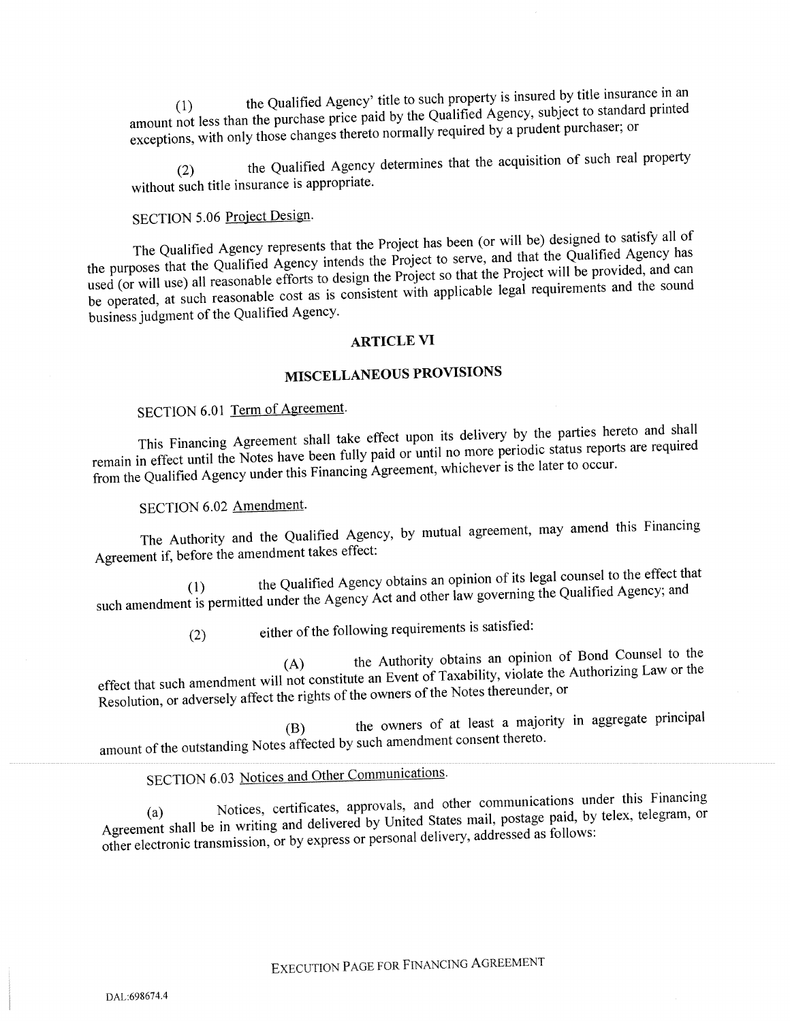the Qualified Agency' title to such property is insured by title insurance in an amount not less than the purchase price paid by the Qualified Agency, subject to standard printed exceptions, with only those changes thereto normally required by <sup>a</sup> prudent purchaser; or

(2) the Qualified Agency determines that the acquisition of such real property without such title insurance is appropriate.

## SECTION 5.06 Project Design.

The Qualified Agency represents that the Project has been (or will be) designed to satisfy all of the purposes that the Qualified Agency intends the Project to serve, and that the Qualified Agency has used (or will use) all reasonable efforts to design the Project so that the Project will be provided, and can be operated, at such reasonable cost as is consistent with applicable legal requirements and the sound business judgment of the Qualified Agency.

### ARTICLE VI

# MISCELLANEOUS PROVISIONS

# SECTION 6.01 Term of Agreement.

This Financing Agreement shall take effect upon its delivery by the parties hereto and shall remain in effect until the Notes have been fully paid or until no more periodic status reports are required from the Qualified Agency under this Financing Agreement, whichever is the later to occur.

## SECTION 6.02 Amendment.

The Authority and the Qualified Agency, by mutual agreement, may amend this Financing Agreement if, before the amendment takes effect:

the Qualified Agency obtains an opinion of its legal counsel to the effect that such amendment is permitted under the Agency Act and other law governing the Qualified Agency; and

(2) either of the following requirements is satisfied:

the Authority obtains an opinion of Bond Counsel to the effect that such amendment will not constitute an Event of Taxability, violate the Authorizing Law or the Resolution, or adversely affect the rights of the owners of the Notes thereunder, or

(B) the owners of at least <sup>a</sup> majority in aggregate principal amount of the outstanding Notes affected by such amendment consent thereto.

# SECTION 6.03 Notices and Other Communications.

Notices, certificates, approvals, and other communications under this Financing Agreement shall be in writing and delivered by United States mail, postage paid, by telex, telegram, or other electronic transmission, or by express or persona<sup>l</sup> delivery, addressed as follows: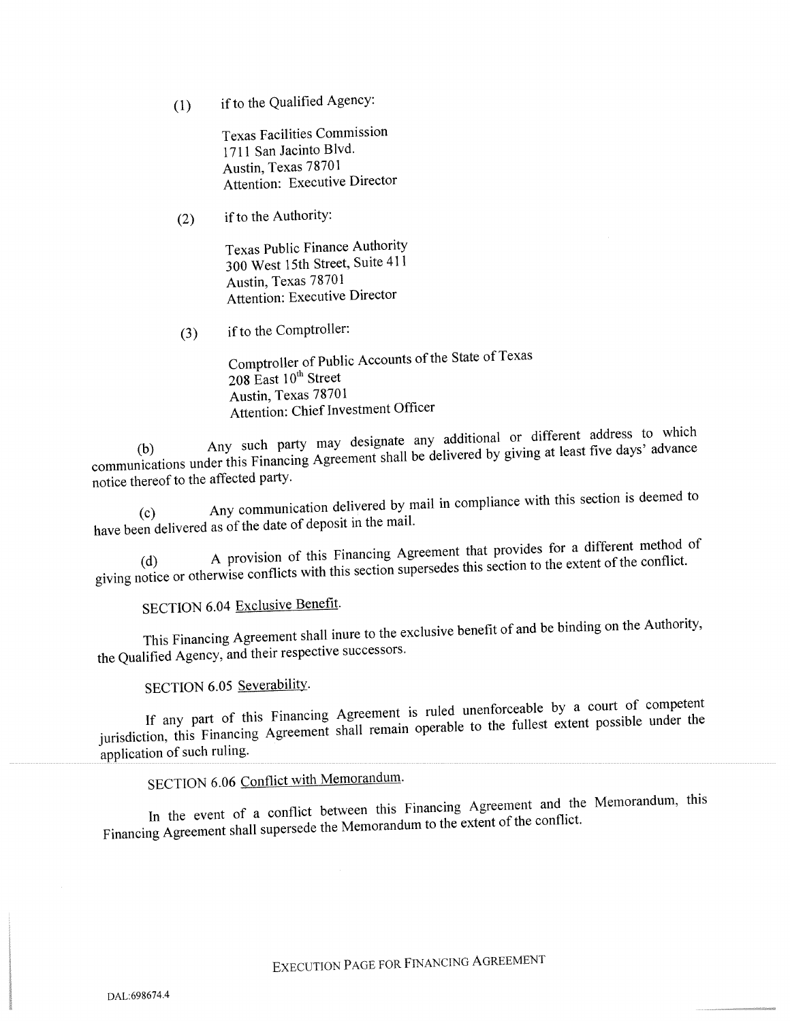(1) ifto the Qualified Agency:

Texas Facilities Commission 1711 San Jacinto Blvd. Austin, Texas 78701 Attention: Executive Director

 $(2)$  if to the Authority:

Texas Public Finance Authority <sup>300</sup> West 15th Street, Suite <sup>411</sup> Austin, Texas 78701 Attention: Executive Director

(3) ifto the Comptroller:

Comptroller of Public Accounts of the State of Texas 208 East  $10^{th}$  Street Austin, Texas 78701 Attention: Chief Investment Officer

Any such party may designate any additional or different address to which communications under this Financing Agreement shall be delivered by <sup>g</sup>iving at least five days' advance notice thereof to the affected party.

(c) Any communication delivered by mail in compliance with this section is deemed to have been delivered as of the date of deposit in the mail.

A provision of this Financing Agreement that provides for a different method of giving notice or otherwise conflicts with this section supersedes this section to the extent of the conflict.

SECTION 6.04 Exclusive Benefit.

This Financing Agreement shall inure to the exclusive benefit of and be binding on the Authority, the Qualified Agency, and their respective successors.

SECTION 6.05 Severability.

If any part of this Financing Agreement is ruled unenforceable by <sup>a</sup> court of competent jurisdiction, this Financing Agreement shall remain operable to the fullest extent possible under the application of such ruling.

SECTION 6.06 Conflict with Memorandum.

In the event of <sup>a</sup> conflict between this Financing Agreement and the Memorandum, this Financing Agreement shall supersede the Memorandum to the extent of the conflict.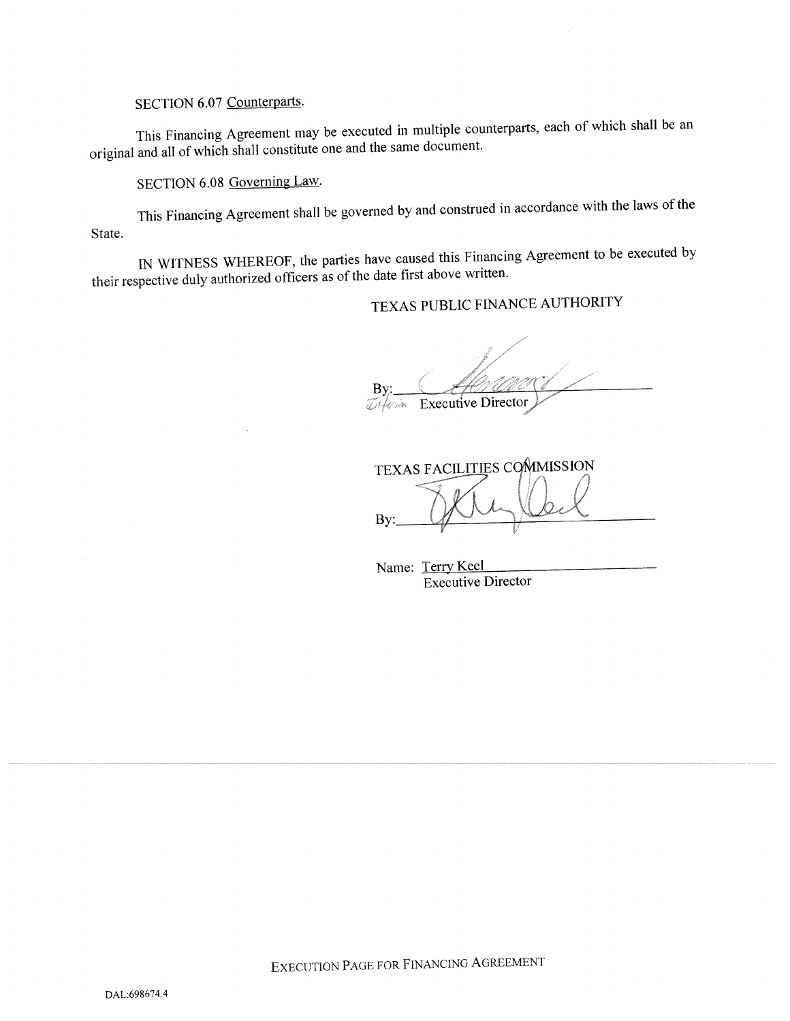SECTION 6.07 Counterparts.

This Financing Agreement may be executed in multiple counterparts, each of which shall be an original and all of which shall constitute one and the same document.

SECTION 6.08 Governing Law.

This Financing Agreement shall be governe<sup>d</sup> by and construed in accordance with the laws of the State.

IN WITNESS WHEREOF, the parties have caused this Financing Agreement to be executed by their respective duly authorized officers as of the date first above written.

# TEXAS PUBLIC FINANCE AUTHORITY

By Executive Director

TEXAS FACILITIES COMMISSION By:  $\qquad \qquad \qquad$ 

Name: Terry Keel Executive Director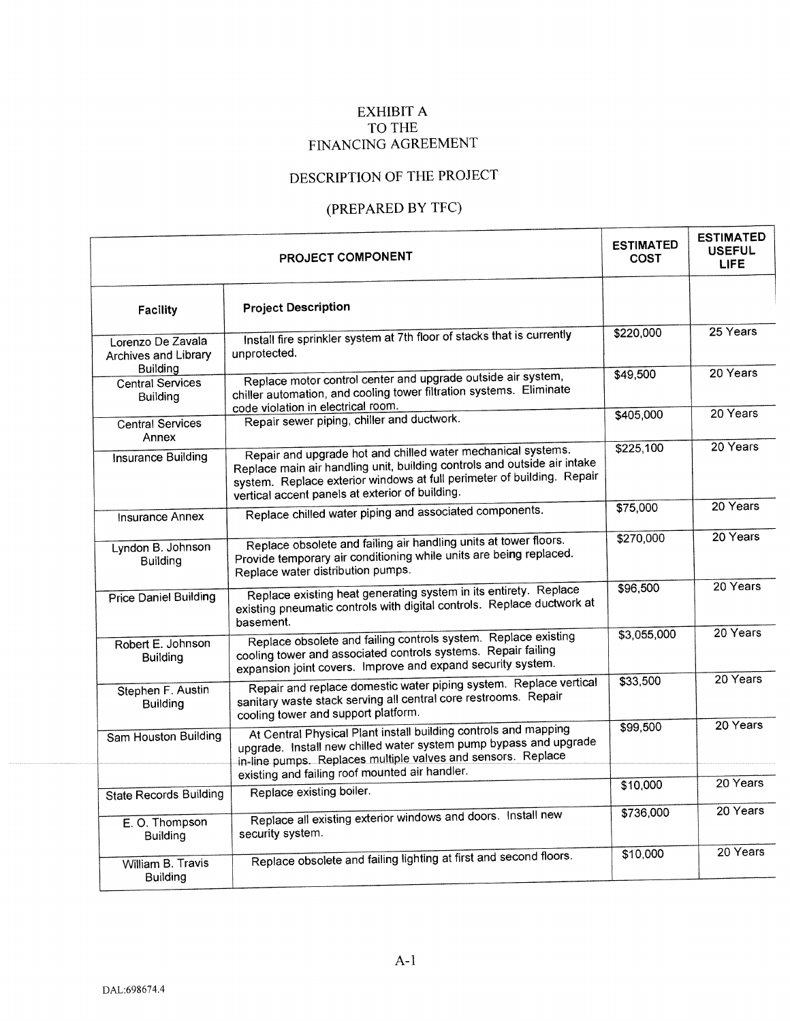## EXHIBIT A TO THE FINANCING AGREEMENT

# DESCRIPTION OF THE PROJECT

# (PREPARED BY TFC)

| PROJECT COMPONENT                               |                                                                                                                                                                                                                                                                       |             | <b>ESTIMATED</b><br><b>USEFUL</b><br><b>LIFE</b> |  |
|-------------------------------------------------|-----------------------------------------------------------------------------------------------------------------------------------------------------------------------------------------------------------------------------------------------------------------------|-------------|--------------------------------------------------|--|
| <b>Facility</b>                                 | <b>Project Description</b>                                                                                                                                                                                                                                            |             |                                                  |  |
| Lorenzo De Zavala<br>Archives and Library       | Install fire sprinkler system at 7th floor of stacks that is currently<br>unprotected.                                                                                                                                                                                | \$220,000   | $25$ Years                                       |  |
| <b>Building</b><br>Central Services<br>Building | Replace motor control center and upgrade outside air system,<br>chiller automation, and cooling tower filtration systems. Eliminate<br>code violation in electrical room.                                                                                             | \$49,500    | 20 Years                                         |  |
| <b>Central Services</b><br>Annex                | Repair sewer piping, chiller and ductwork.                                                                                                                                                                                                                            | \$405,000   | 20 Years                                         |  |
| <b>Insurance Building</b>                       | Repair and upgrade hot and chilled water mechanical systems.<br>Replace main air handling unit, building controls and outside air intake<br>system. Replace exterior windows at full perimeter of building. Repair<br>vertical accent panels at exterior of building. | \$225,100   | 20 Years                                         |  |
| <b>Insurance Annex</b>                          | Replace chilled water piping and associated components.                                                                                                                                                                                                               | \$75,000    | 20 Years                                         |  |
| Lyndon B. Johnson<br>Building                   | Replace obsolete and failing air handling units at tower floors.<br>Provide temporary air conditioning while units are being replaced.<br>Replace water distribution pumps.                                                                                           | \$270,000   | 20 Years                                         |  |
| <b>Price Daniel Building</b>                    | Replace existing heat generating system in its entirety. Replace<br>existing pneumatic controls with digital controls. Replace ductwork at<br>basement.                                                                                                               | \$96,500    | 20 Years                                         |  |
| Robert E. Johnson<br>Building                   | Replace obsolete and failing controls system. Replace existing<br>cooling tower and associated controls systems. Repair failing<br>expansion joint covers. Improve and expand security system.                                                                        | \$3,055,000 | 20 Years                                         |  |
| Stephen F. Austin<br><b>Building</b>            | Repair and replace domestic water piping system. Replace vertical<br>sanitary waste stack serving all central core restrooms. Repair<br>cooling tower and support platform.                                                                                           | \$33,500    | 20 Years                                         |  |
| Sam Houston Building                            | At Central Physical Plant install building controls and mapping<br>upgrade. Install new chilled water system pump bypass and upgrade<br>in-line pumps. Replaces multiple valves and sensors. Replace<br>existing and failing roof mounted air handler.                | \$99,500    | 20 Years                                         |  |
| <b>State Records Building</b>                   | Replace existing boiler.                                                                                                                                                                                                                                              | \$10,000    | 20 Years                                         |  |
| E.O. Thompson<br><b>Building</b>                | Replace all existing exterior windows and doors. Install new<br>security system.                                                                                                                                                                                      | \$736,000   | 20 Years                                         |  |
| William B. Travis<br>Building                   | Replace obsolete and failing lighting at first and second floors.                                                                                                                                                                                                     | \$10,000    | 20 Years                                         |  |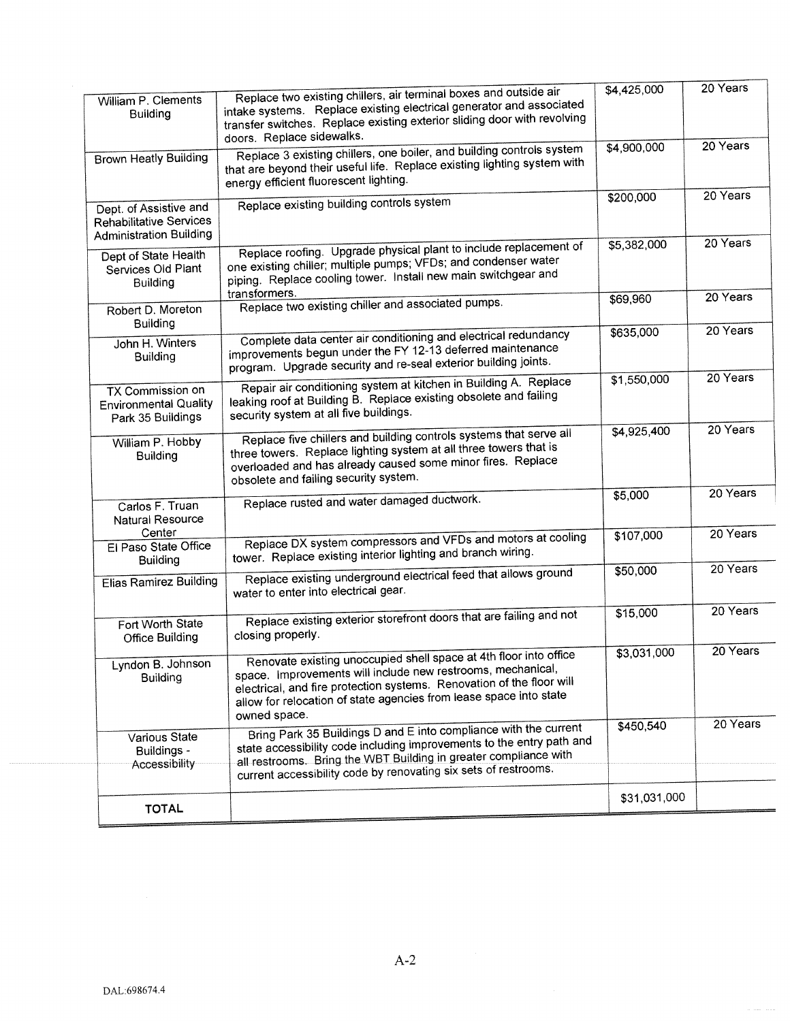|                                                                                                                                                                                                                                                                                                                                         |                                                                                                                                                                                                                                                                                  | \$4,425,000  | 20 Years |
|-----------------------------------------------------------------------------------------------------------------------------------------------------------------------------------------------------------------------------------------------------------------------------------------------------------------------------------------|----------------------------------------------------------------------------------------------------------------------------------------------------------------------------------------------------------------------------------------------------------------------------------|--------------|----------|
| William P. Clements<br><b>Building</b>                                                                                                                                                                                                                                                                                                  | Replace two existing chillers, air terminal boxes and outside air<br>intake systems. Replace existing electrical generator and associated<br>transfer switches. Replace existing exterior sliding door with revolving<br>doors. Replace sidewalks.                               |              |          |
| <b>Brown Heatly Building</b>                                                                                                                                                                                                                                                                                                            | Replace 3 existing chillers, one boiler, and building controls system<br>that are beyond their useful life. Replace existing lighting system with<br>energy efficient fluorescent lighting.                                                                                      |              | 20 Years |
| Dept. of Assistive and<br>Rehabilitative Services<br><b>Administration Building</b>                                                                                                                                                                                                                                                     | Replace existing building controls system                                                                                                                                                                                                                                        | \$200,000    | 20 Years |
| Dept of State Health<br>Services Old Plant<br><b>Building</b>                                                                                                                                                                                                                                                                           | Replace roofing. Upgrade physical plant to include replacement of<br>one existing chiller; multiple pumps; VFDs; and condenser water<br>piping. Replace cooling tower. Install new main switchgear and                                                                           | \$5,382,000  | 20 Years |
| Robert D. Moreton<br><b>Building</b>                                                                                                                                                                                                                                                                                                    | transformers.<br>Replace two existing chiller and associated pumps.                                                                                                                                                                                                              | \$69,960     | 20 Years |
| John H. Winters<br><b>Building</b>                                                                                                                                                                                                                                                                                                      | Complete data center air conditioning and electrical redundancy<br>improvements begun under the FY 12-13 deferred maintenance<br>program. Upgrade security and re-seal exterior building joints.                                                                                 | \$635,000    | 20 Years |
| Repair air conditioning system at kitchen in Building A. Replace<br>TX Commission on<br>leaking roof at Building B. Replace existing obsolete and failing<br><b>Environmental Quality</b><br>security system at all five buildings.<br>Park 35 Buildings                                                                                |                                                                                                                                                                                                                                                                                  | \$1,550,000  | 20 Years |
| Replace five chillers and building controls systems that serve all<br>William P. Hobby<br>three towers. Replace lighting system at all three towers that is<br><b>Building</b><br>overloaded and has already caused some minor fires. Replace<br>obsolete and failing security system.                                                  |                                                                                                                                                                                                                                                                                  | \$4,925,400  | 20 Years |
| Carlos F. Truan<br>Natural Resource                                                                                                                                                                                                                                                                                                     | Replace rusted and water damaged ductwork.                                                                                                                                                                                                                                       | \$5,000      | 20 Years |
| Center<br>El Paso State Office<br><b>Building</b>                                                                                                                                                                                                                                                                                       | Replace DX system compressors and VFDs and motors at cooling<br>tower. Replace existing interior lighting and branch wiring.                                                                                                                                                     | \$107,000    | 20 Years |
| Elias Ramirez Building                                                                                                                                                                                                                                                                                                                  | Replace existing underground electrical feed that allows ground<br>water to enter into electrical gear.                                                                                                                                                                          | \$50,000     | 20 Years |
| Fort Worth State<br><b>Office Building</b>                                                                                                                                                                                                                                                                                              | Replace existing exterior storefront doors that are failing and not<br>closing properly.                                                                                                                                                                                         | \$15,000     | 20 Years |
| Renovate existing unoccupied shell space at 4th floor into office<br>Lyndon B. Johnson<br>space. Improvements will include new restrooms, mechanical,<br><b>Building</b><br>electrical, and fire protection systems. Renovation of the floor will<br>allow for relocation of state agencies from lease space into state<br>owned space. |                                                                                                                                                                                                                                                                                  | \$3,031,000  | 20 Years |
| Various State<br>Buildings -<br>Accessibility                                                                                                                                                                                                                                                                                           | Bring Park 35 Buildings D and E into compliance with the current<br>state accessibility code including improvements to the entry path and<br>all restrooms. Bring the WBT Building in greater compliance with<br>current accessibility code by renovating six sets of restrooms. | \$450,540    | 20 Years |
|                                                                                                                                                                                                                                                                                                                                         |                                                                                                                                                                                                                                                                                  | \$31,031,000 |          |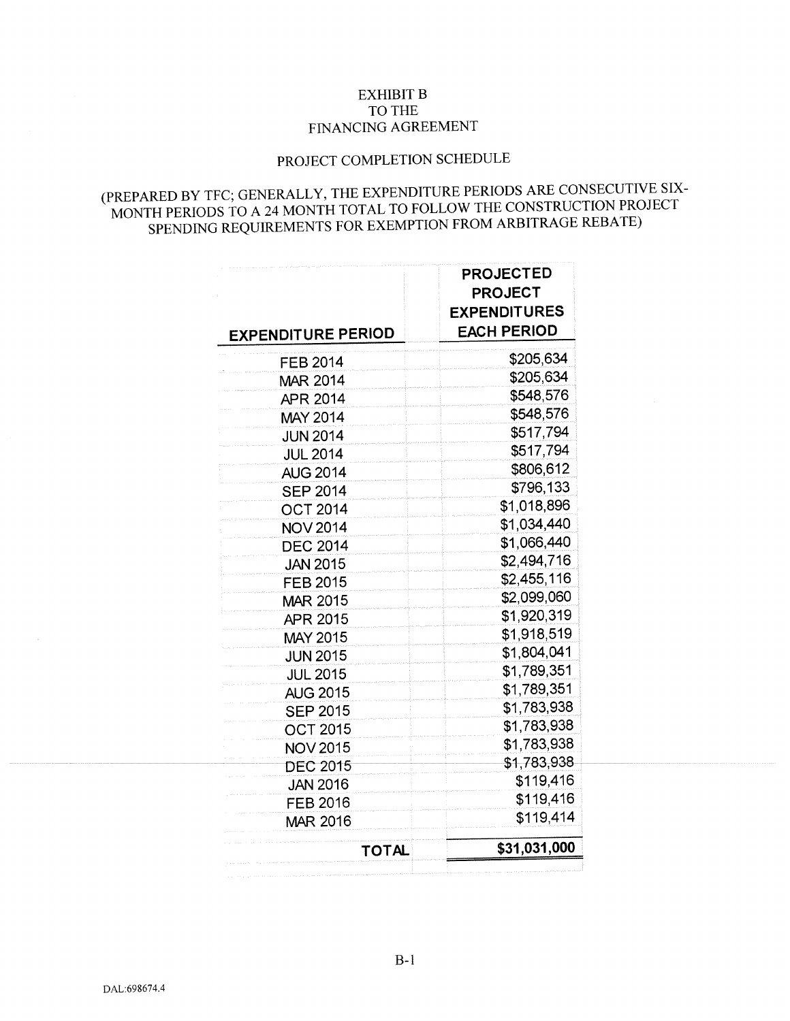## EXHIBIT B TO THE FINANCING AGREEMENT

# PROJECT COMPLETION SCHEDULE

# (PREPARED BY TFC; GENERALLY, THE EXPENDITURE PERIODS ARE CONSECUTIVE SIX-MONTH PERIODS TO A 24 MONTH TOTAL TO FOLLOW THE CONSTRUCTION PROJECT SPENDING REQUIREMENTS FOR EXEMPTION FROM ARBITRAGE REBATE)

| <b>EXPENDITURE PERIOD</b> | <b>PROJECTED</b><br><b>PROJECT</b><br><b>EXPENDITURES</b><br><b>EACH PERIOD</b> |
|---------------------------|---------------------------------------------------------------------------------|
| <b>FEB 2014</b>           | \$205,634                                                                       |
| <b>MAR 2014</b>           | \$205,634                                                                       |
| APR 2014                  | \$548,576                                                                       |
| MAY 2014                  | \$548,576                                                                       |
| <b>JUN 2014</b>           | \$517,794                                                                       |
| <b>JUL 2014</b>           | \$517,794                                                                       |
| <b>AUG 2014</b>           | \$806,612                                                                       |
| <b>SEP 2014</b>           | \$796,133                                                                       |
| <b>OCT 2014</b>           | \$1,018,896                                                                     |
| <b>NOV 2014</b>           | \$1,034,440                                                                     |
| <b>DEC 2014</b>           | \$1,066,440                                                                     |
| <b>JAN 2015</b>           | \$2,494,716                                                                     |
| <b>FEB 2015</b>           | \$2,455,116                                                                     |
| <b>MAR 2015</b>           | \$2,099,060                                                                     |
| <b>APR 2015</b>           | \$1,920,319                                                                     |
| <b>MAY 2015</b>           | \$1,918,519                                                                     |
| <b>JUN 2015</b>           | \$1,804,041                                                                     |
| <b>JUL 2015</b>           | \$1,789,351                                                                     |
| <b>AUG 2015</b>           | \$1,789,351                                                                     |
| <b>SEP 2015</b>           | \$1,783,938                                                                     |
| <b>OCT 2015</b>           | \$1,783,938                                                                     |
| <b>NOV 2015</b>           | \$1,783,938                                                                     |
| <b>DEC 2015</b>           | \$1,783,938                                                                     |
| <b>JAN 2016</b>           | \$119,416                                                                       |
| <b>FEB 2016</b>           | \$119,416                                                                       |
| MAR 2016                  | \$119,414                                                                       |
| TOTAL                     | \$31,031,000                                                                    |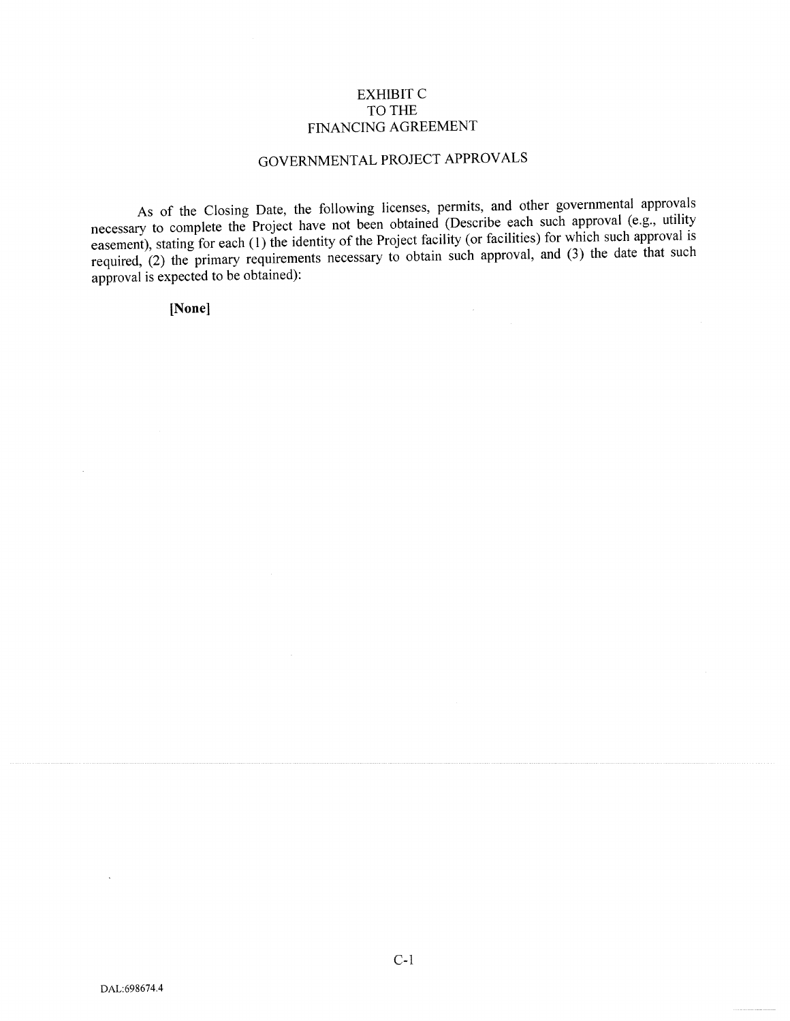## EXHIBIT C TO THE FINANCING AGREEMENT

# GOVERNMENTAL PROJECT APPROVALS

As of the Closing Date, the following licenses, permits, and other governmental approvals necessary to complete the Project have not been obtained (Describe each such approval (e.g., utility easement), stating for each (1) the identity of the Project facility (or facilities) for which such approval is required, (2) the primary requirements necessary to obtain such approval, and (3) the date that such required, (2) the primary requirements necessary to obtain such approval, and (3) the date that such approva<sup>l</sup> is expected to be obtained):

[None]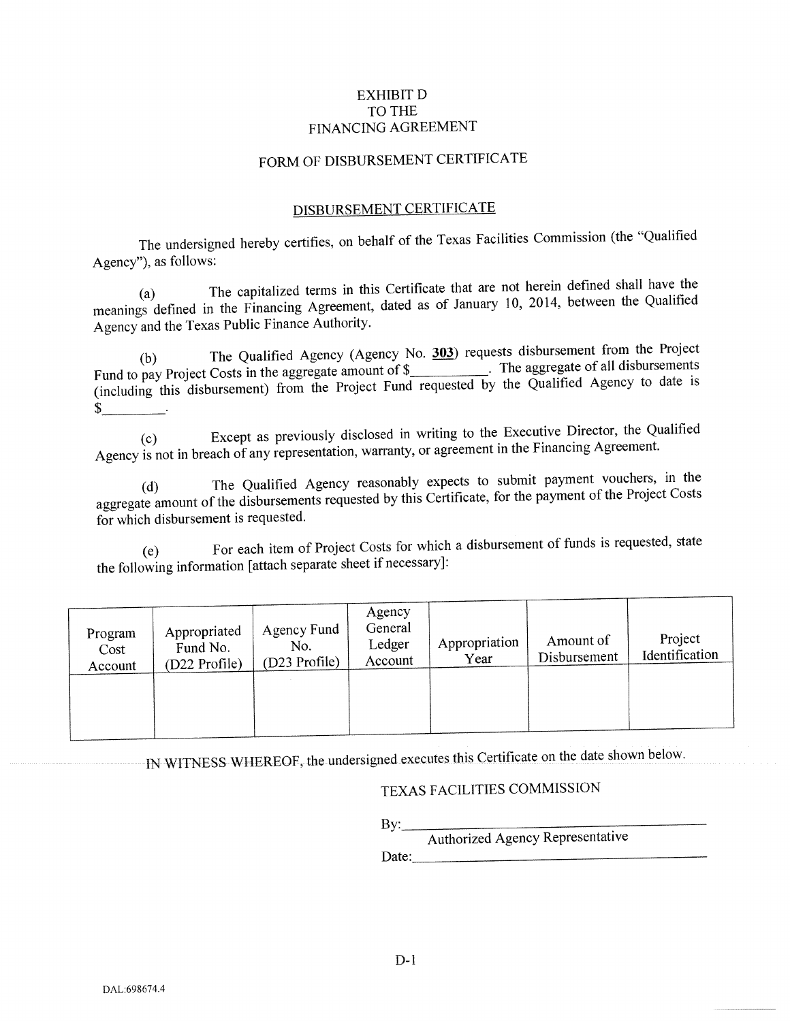## EXHIBIT D TO THE FINANCING AGREEMENT

## FORM OF DISBURSEMENT CERTIFICATE

#### DISBURSEMENT CERTIFICATE

The undersigned hereby certifies, on behalf of the Texas Facilities Commission (the "Qualified Agency"), as follows:

(a) The capitalized terms in this Certificate that are not herein defined shall have the meanings defined in the Financing Agreement, dated as of January 10, 2014, between the Qualified Agency and the Texas Public Finance Authority.

(b) The Qualified Agency (Agency No.  $\overline{303}$ ) requests disbursement from the Project Fund to pay Project Costs in the aggregate amount of  $\frac{1}{2}$ . The aggregate of all disbursements (including this disbursement) from the Project Fund requested by the Qualified Agency to date is  $\mathbb{S}^-$ 

(c) Except as previously disclosed in writing to the Executive Director, the Qualified Agency is not in breach of any representation, warranty, or agreemen<sup>t</sup> in the Financing Agreement.

(d) The Qualified Agency reasonably expects to submit paymen<sup>t</sup> vouchers, in the aggregate amount of the disbursements requested by this Certificate, for the payment of the Project Costs for which disbursement is requested.

(e) For each item of Project Costs for which <sup>a</sup> disbursement of funds is requested, state the following information [attach separate sheet if necessary]:

| Program<br>Cost<br>Account | Appropriated<br>Fund No.<br>(D22 Profile) | Agency Fund<br>No.<br>(D23 Profile) | Agency<br>General<br>Ledger<br>Account | Appropriation<br>Year | Amount of<br>Disbursement | Project<br>Identification |
|----------------------------|-------------------------------------------|-------------------------------------|----------------------------------------|-----------------------|---------------------------|---------------------------|
|----------------------------|-------------------------------------------|-------------------------------------|----------------------------------------|-----------------------|---------------------------|---------------------------|

IN WITNESS WHEREOF, the undersigned executes this Certificate on the date shown below.

## TEXAS FACILITIES COMMISSION

By:\_\_\_\_\_\_\_\_\_\_\_\_\_\_\_\_\_\_\_\_\_\_\_\_\_\_\_\_\_\_\_\_\_\_ Authorized Agency Representative Date: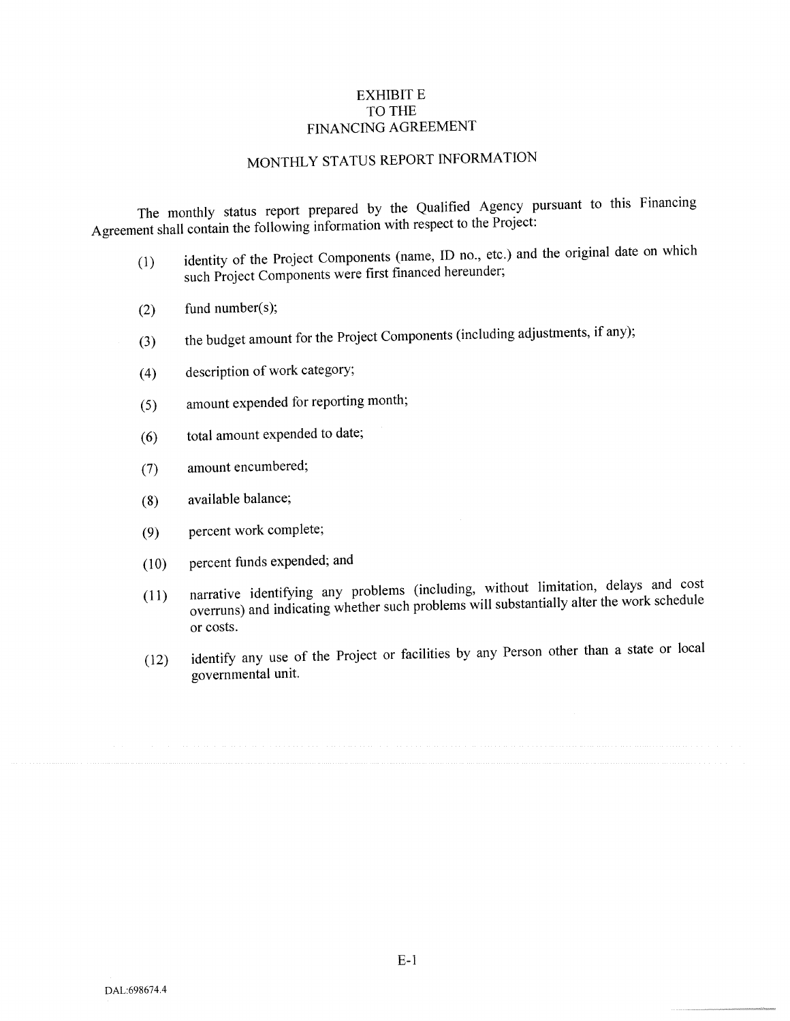## EXHIBIT E TO THE FINANCING AGREEMENT

# MONTHLY STATUS REPORT INFORMATION

The monthly status repor<sup>t</sup> prepare<sup>d</sup> by the Qualified Agency pursuan<sup>t</sup> to this Financing Agreement shall contain the following information with respec<sup>t</sup> to the Project:

- (1) identity of the Project Components (name, ID no., etc.) and the original date on which such Project Components were first financed hereunder;
- (2) fund number(s);
- (3) the budget amount for the Project Components (including adjustments, if any);
- (4) description of work category;
- (5) amount expended for reporting month;
- (6) total amount expended to date;
- (7) amount encumbered;
- (8) available balance;
- (9) percen<sup>t</sup> work complete;
- (10) percen<sup>t</sup> funds expended; and
- (11) narrative identifying any problems (including, without limitation, delays and cost overruns) and indicating whether such problems will substantially alter the work schedule or costs.
- (12) identify any use of the Project or facilities by any Person other than <sup>a</sup> state or local governmental unit.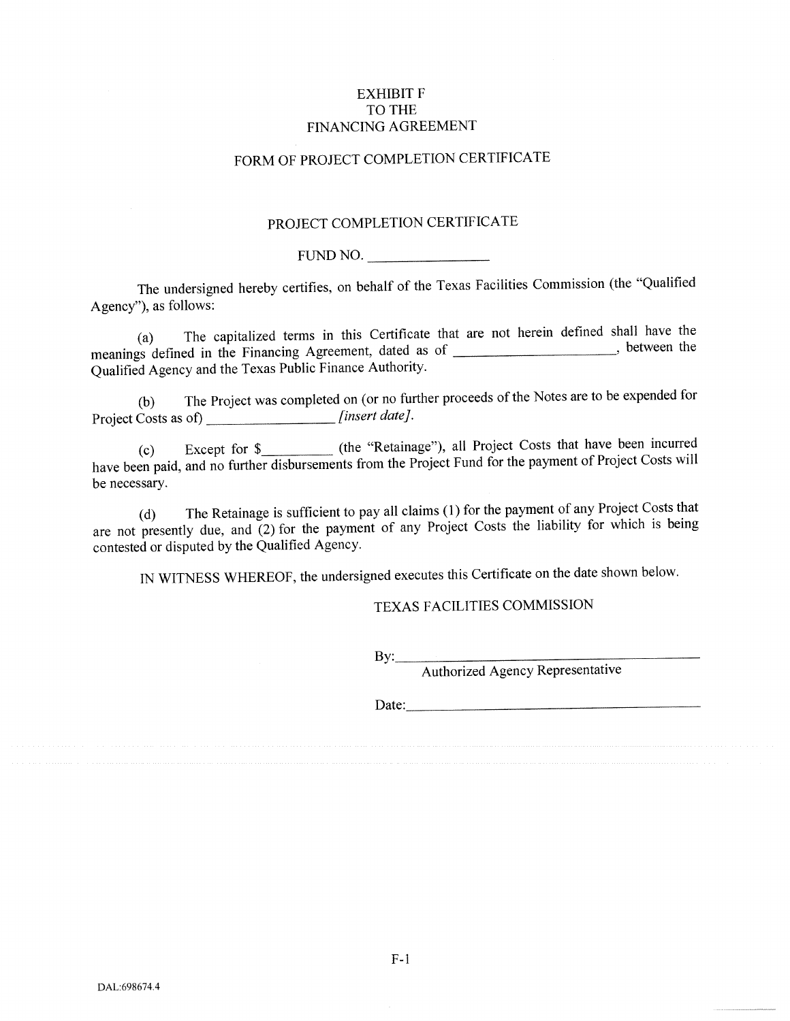### EXHIBIT F TO THE FINANCING AGREEMENT

## FORM OF PROJECT COMPLETION CERTTFICATE

## PROJECT COMPLETION CERTIFICATE

FUND NO.

The undersigned hereby certifies, on behalf of the Texas Facilities Commission (the "Qualified Agency"), as follows:

(a) The capitalized terms in this Certificate that are not herein defined shall have the meanings defined in the Financing Agreement, dated as of \_\_\_\_\_\_\_\_\_\_\_\_\_\_\_\_\_\_\_\_\_\_\_, between the Qualified Agency and the Texas Public Finance Authority.

(b) The Project was completed on (or no further proceeds of the Notes are to be expended for Project Costs as of) \_\_\_\_\_\_\_\_\_\_\_\_\_\_\_\_\_\_\_*[insert date]* 

(c) Except for \$\_\_\_\_\_\_\_\_\_\_\_\_ (the "Retainage"), all Project Costs that have been incurred have been paid, and no further disbursements from the Project Fund for the payment of Project Costs will be necessary.

(d) The Retainage is sufficient to pay all claims (1) for the paymen<sup>t</sup> of any Project Costs that are not presently due, and (2) for the payment of any Project Costs the liability for which is being contested or disputed by the Qualified Agency.

IN WITNESS WHEREOF, the undersigned executes this Certificate on the date shown below.

## TEXAS FACILITIES COMMISSION

By:\_\_\_\_\_\_\_\_\_\_\_\_\_\_\_\_\_\_\_\_\_\_\_\_\_\_

Authorized Agency Representative

Date:

F-i